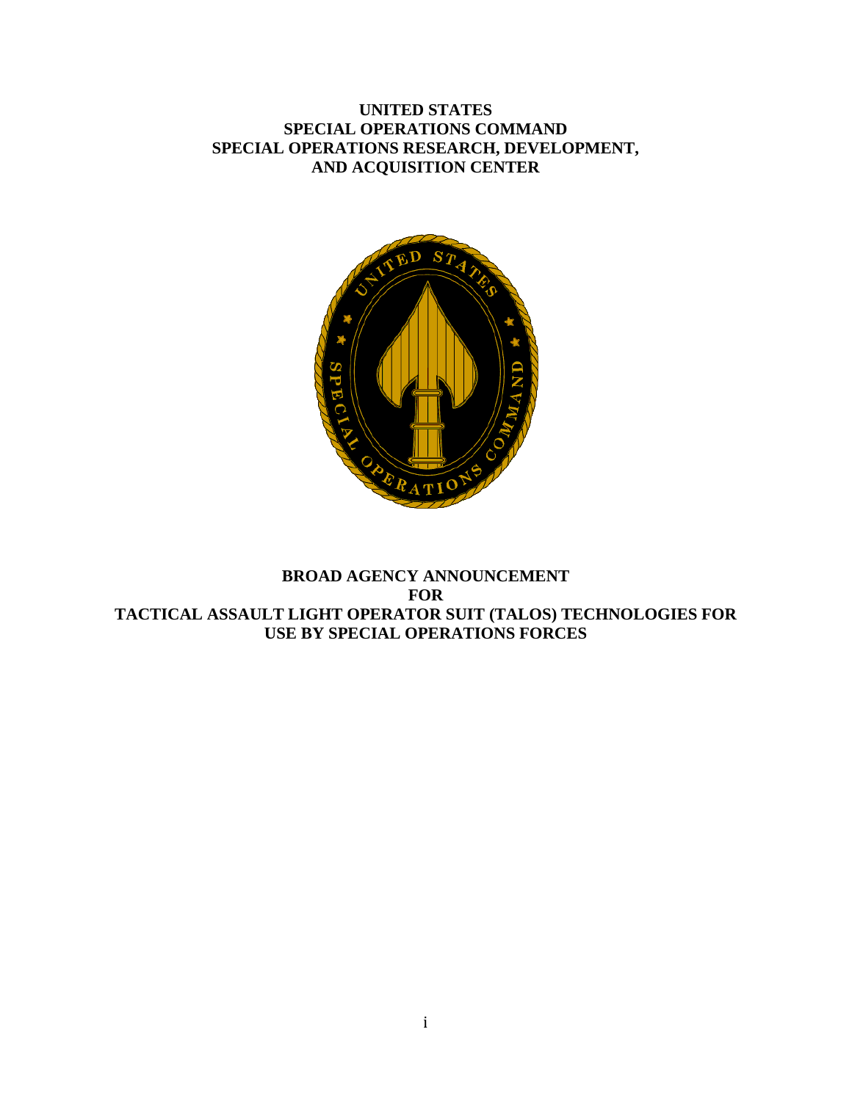# **UNITED STATES SPECIAL OPERATIONS COMMAND SPECIAL OPERATIONS RESEARCH, DEVELOPMENT, AND ACQUISITION CENTER**



# **BROAD AGENCY ANNOUNCEMENT FOR TACTICAL ASSAULT LIGHT OPERATOR SUIT (TALOS) TECHNOLOGIES FOR USE BY SPECIAL OPERATIONS FORCES**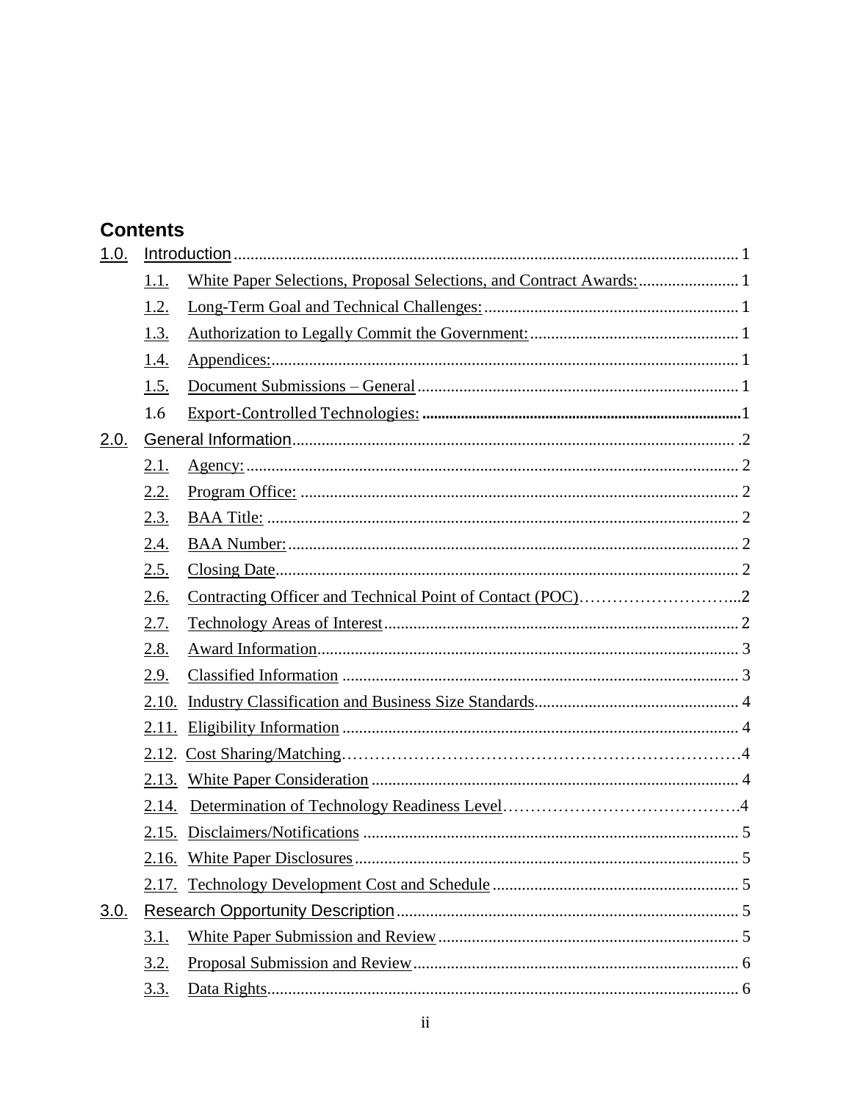# **Contents**

| 1.0. |             |  |  |  |  |
|------|-------------|--|--|--|--|
|      | <u>1.1.</u> |  |  |  |  |
|      | 1.2.        |  |  |  |  |
|      | 1.3.        |  |  |  |  |
|      | 1.4.        |  |  |  |  |
|      | 1.5.        |  |  |  |  |
|      | 1.6         |  |  |  |  |
| 2.0. |             |  |  |  |  |
|      | <u>2.1.</u> |  |  |  |  |
|      | 2.2.        |  |  |  |  |
|      | 2.3.        |  |  |  |  |
|      | 2.4.        |  |  |  |  |
|      | 2.5.        |  |  |  |  |
|      | 2.6.        |  |  |  |  |
|      | 2.7.        |  |  |  |  |
|      | 2.8.        |  |  |  |  |
|      | 2.9.        |  |  |  |  |
|      | 2.10.       |  |  |  |  |
|      | 2.11.       |  |  |  |  |
|      | 2.12.       |  |  |  |  |
|      | 2.13.       |  |  |  |  |
|      | 2.14.       |  |  |  |  |
|      | 2.15.       |  |  |  |  |
|      |             |  |  |  |  |
|      |             |  |  |  |  |
| 3.0. |             |  |  |  |  |
|      | <u>3.1.</u> |  |  |  |  |
|      | <u>3.2.</u> |  |  |  |  |
|      | <u>3.3.</u> |  |  |  |  |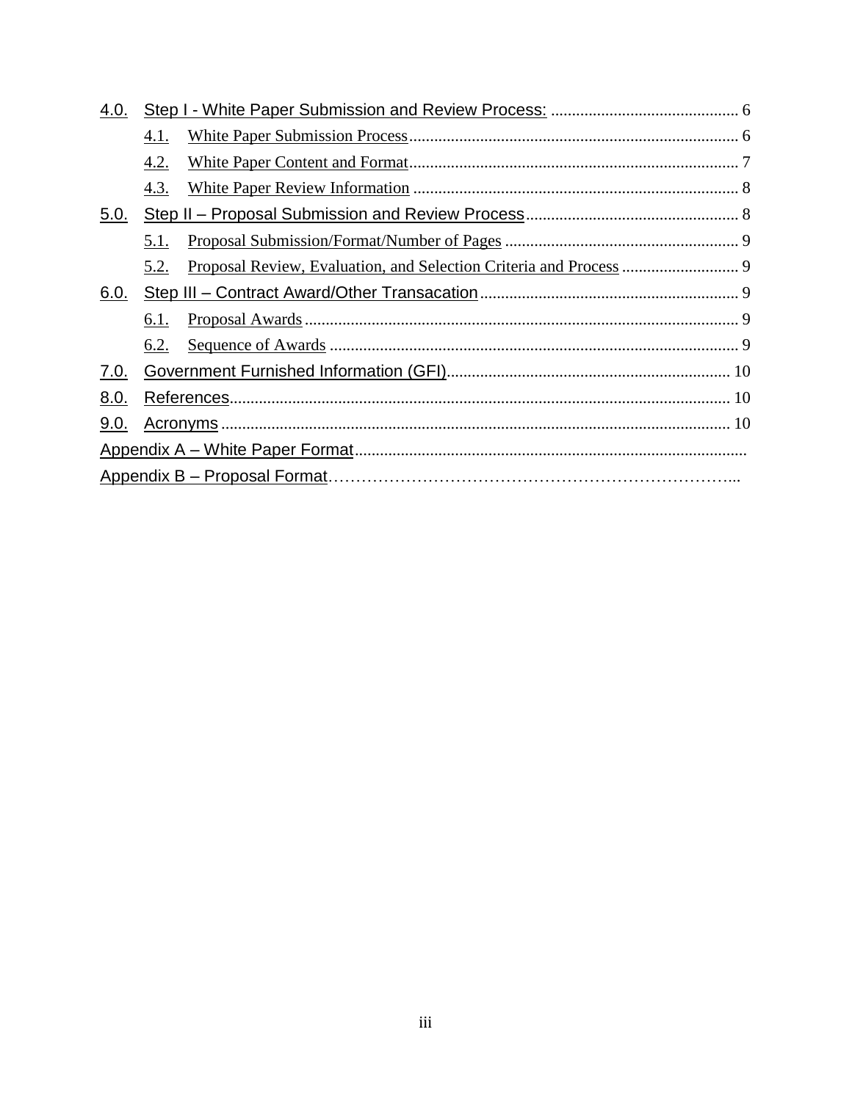| 4.0.        |      |  |  |
|-------------|------|--|--|
|             | 4.1. |  |  |
|             | 4.2. |  |  |
|             | 4.3. |  |  |
| <u>5.0.</u> |      |  |  |
|             | 5.1. |  |  |
|             | 5.2. |  |  |
| <u>6.0.</u> |      |  |  |
|             | 6.1. |  |  |
|             | 6.2. |  |  |
| <u>7.0.</u> |      |  |  |
| 8.0.        |      |  |  |
| 9.0.        |      |  |  |
|             |      |  |  |
|             |      |  |  |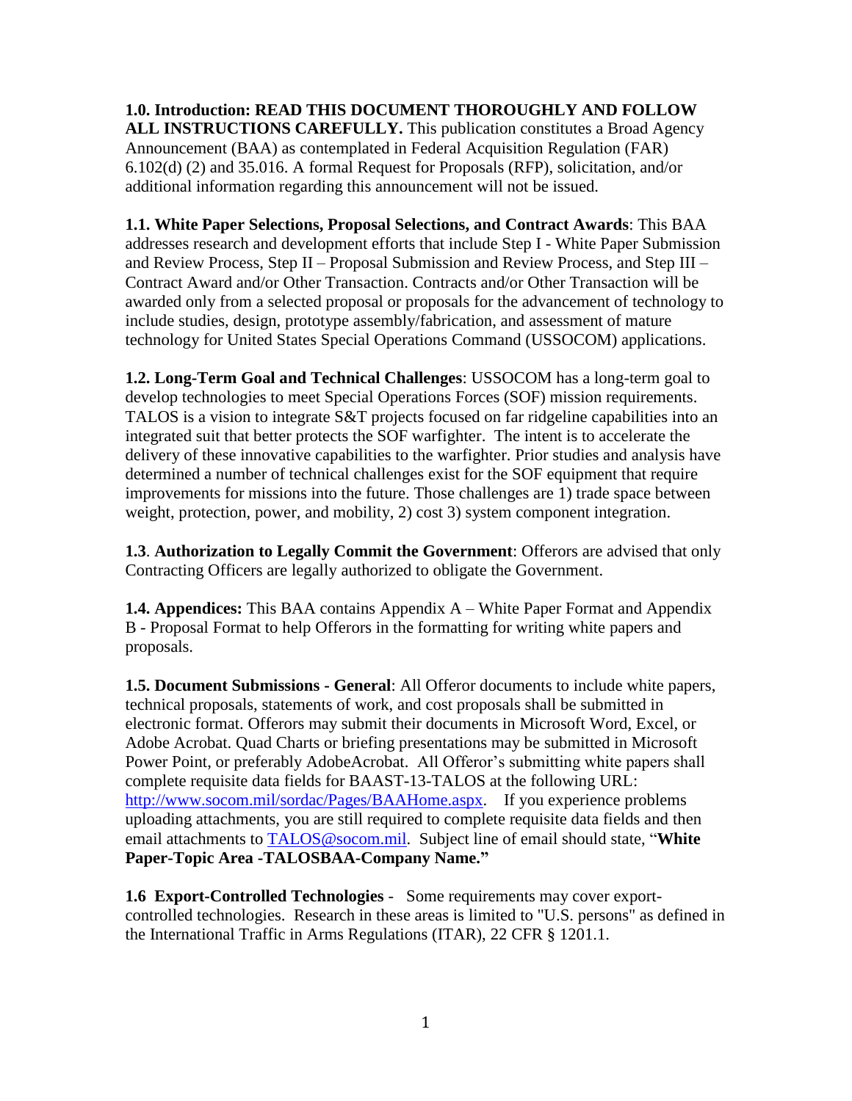**1.0. Introduction: READ THIS DOCUMENT THOROUGHLY AND FOLLOW ALL INSTRUCTIONS CAREFULLY.** This publication constitutes a Broad Agency Announcement (BAA) as contemplated in Federal Acquisition Regulation (FAR) 6.102(d) (2) and 35.016. A formal Request for Proposals (RFP), solicitation, and/or additional information regarding this announcement will not be issued.

**1.1. White Paper Selections, Proposal Selections, and Contract Awards**: This BAA addresses research and development efforts that include Step I - White Paper Submission and Review Process, Step II – Proposal Submission and Review Process, and Step III – Contract Award and/or Other Transaction. Contracts and/or Other Transaction will be awarded only from a selected proposal or proposals for the advancement of technology to include studies, design, prototype assembly/fabrication, and assessment of mature technology for United States Special Operations Command (USSOCOM) applications.

**1.2. Long-Term Goal and Technical Challenges**: USSOCOM has a long-term goal to develop technologies to meet Special Operations Forces (SOF) mission requirements. TALOS is a vision to integrate S&T projects focused on far ridgeline capabilities into an integrated suit that better protects the SOF warfighter. The intent is to accelerate the delivery of these innovative capabilities to the warfighter. Prior studies and analysis have determined a number of technical challenges exist for the SOF equipment that require improvements for missions into the future. Those challenges are 1) trade space between weight, protection, power, and mobility, 2) cost 3) system component integration.

**1.3**. **Authorization to Legally Commit the Government**: Offerors are advised that only Contracting Officers are legally authorized to obligate the Government.

**1.4. Appendices:** This BAA contains Appendix A – White Paper Format and Appendix B - Proposal Format to help Offerors in the formatting for writing white papers and proposals.

**1.5. Document Submissions - General**: All Offeror documents to include white papers, technical proposals, statements of work, and cost proposals shall be submitted in electronic format. Offerors may submit their documents in Microsoft Word, Excel, or Adobe Acrobat. Quad Charts or briefing presentations may be submitted in Microsoft Power Point, or preferably AdobeAcrobat. All Offeror's submitting white papers shall complete requisite data fields for BAAST-13-TALOS at the following URL: [http://www.socom.mil/sordac/Pages/BAAHome.aspx.](http://www.socom.mil/sordac/Pages/BAAHome.aspx) If you experience problems uploading attachments, you are still required to complete requisite data fields and then email attachments to [TALOS@socom.mil.](mailto:TALOS@socom.mil) Subject line of email should state, "**White Paper-Topic Area -TALOSBAA-Company Name."** 

**1.6 Export-Controlled Technologies** - Some requirements may cover exportcontrolled technologies. Research in these areas is limited to "U.S. persons" as defined in the International Traffic in Arms Regulations (ITAR), 22 CFR § 1201.1.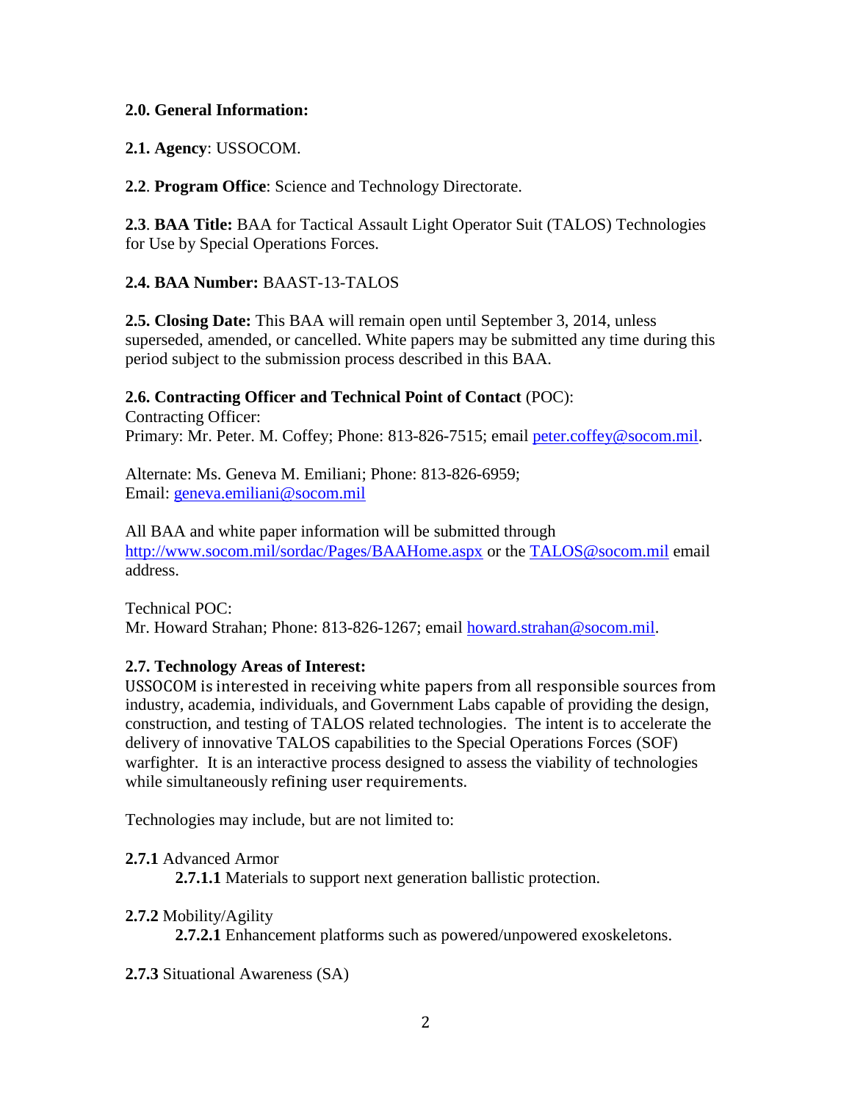## **2.0. General Information:**

**2.1. Agency**: USSOCOM.

**2.2**. **Program Office**: Science and Technology Directorate.

**2.3**. **BAA Title:** BAA for Tactical Assault Light Operator Suit (TALOS) Technologies for Use by Special Operations Forces.

# **2.4. BAA Number:** BAAST-13-TALOS

**2.5. Closing Date:** This BAA will remain open until September 3, 2014, unless superseded, amended, or cancelled. White papers may be submitted any time during this period subject to the submission process described in this BAA.

# **2.6. Contracting Officer and Technical Point of Contact** (POC):

Contracting Officer: Primary: Mr. Peter. M. Coffey; Phone: 813-826-7515; email [peter.coffey@socom.mil.](mailto:peter.coffey@socom.mil)

Alternate: Ms. Geneva M. Emiliani; Phone: 813-826-6959; Email: [geneva.emiliani@socom.mil](file:///C:/Users/Student/Desktop/geneva.emiliani@socom.mil)

All BAA and white paper information will be submitted through <http://www.socom.mil/sordac/Pages/BAAHome.aspx> or the [TALOS@socom.mil](mailto:TALOS@socom.mil) email address.

Technical POC: Mr. Howard Strahan; Phone: 813-826-1267; email [howard.strahan@socom.mil.](mailto:howard.strahan@socom.mil)

# **2.7. Technology Areas of Interest:**

USSOCOM is interested in receiving white papers from all responsible sources from industry, academia, individuals, and Government Labs capable of providing the design, construction, and testing of TALOS related technologies. The intent is to accelerate the delivery of innovative TALOS capabilities to the Special Operations Forces (SOF) warfighter. It is an interactive process designed to assess the viability of technologies while simultaneously refining user requirements.

Technologies may include, but are not limited to:

# **2.7.1** Advanced Armor

**2.7.1.1** Materials to support next generation ballistic protection.

# **2.7.2** Mobility/Agility

**2.7.2.1** Enhancement platforms such as powered/unpowered exoskeletons.

**2.7.3** Situational Awareness (SA)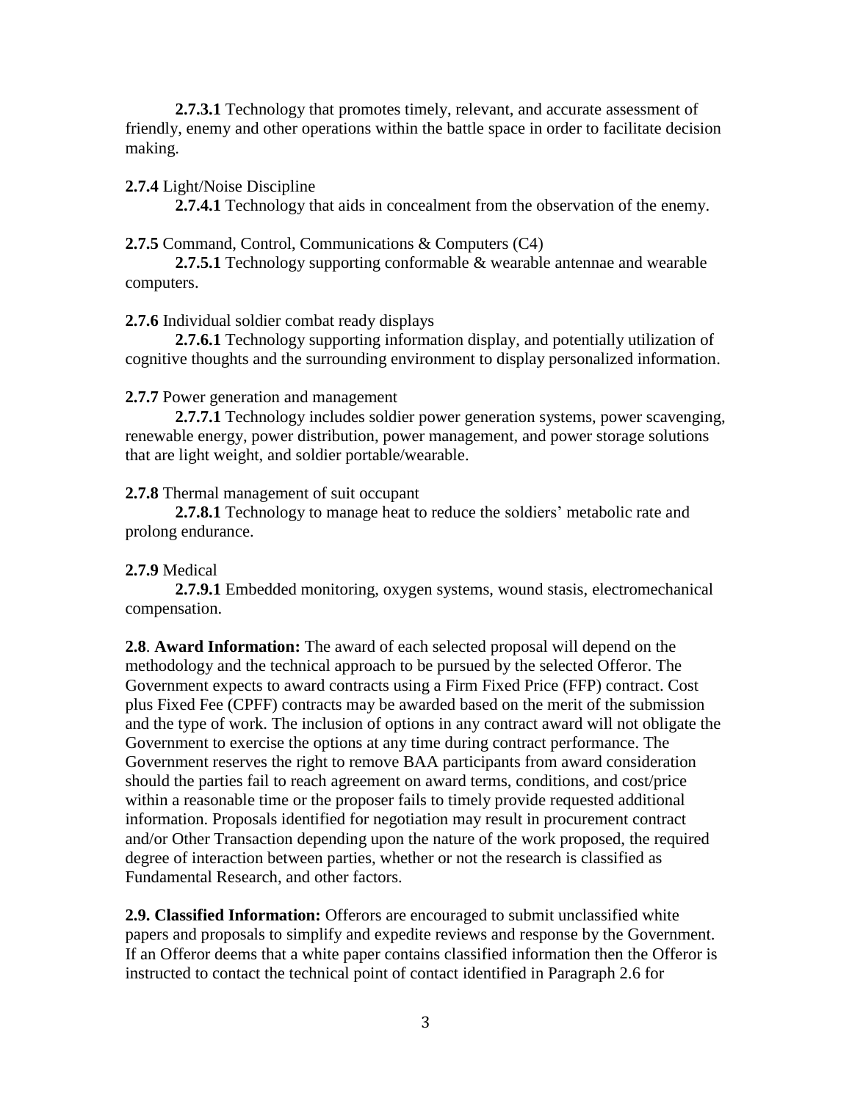**2.7.3.1** Technology that promotes timely, relevant, and accurate assessment of friendly, enemy and other operations within the battle space in order to facilitate decision making.

#### **2.7.4** Light/Noise Discipline

**2.7.4.1** Technology that aids in concealment from the observation of the enemy.

#### **2.7.5** Command, Control, Communications & Computers (C4)

**2.7.5.1** Technology supporting conformable & wearable antennae and wearable computers.

#### **2.7.6** Individual soldier combat ready displays

**2.7.6.1** Technology supporting information display, and potentially utilization of cognitive thoughts and the surrounding environment to display personalized information.

#### **2.7.7** Power generation and management

**2.7.7.1** Technology includes soldier power generation systems, power scavenging, renewable energy, power distribution, power management, and power storage solutions that are light weight, and soldier portable/wearable.

#### **2.7.8** Thermal management of suit occupant

**2.7.8.1** Technology to manage heat to reduce the soldiers' metabolic rate and prolong endurance.

### **2.7.9** Medical

**2.7.9.1** Embedded monitoring, oxygen systems, wound stasis, electromechanical compensation.

**2.8**. **Award Information:** The award of each selected proposal will depend on the methodology and the technical approach to be pursued by the selected Offeror. The Government expects to award contracts using a Firm Fixed Price (FFP) contract. Cost plus Fixed Fee (CPFF) contracts may be awarded based on the merit of the submission and the type of work. The inclusion of options in any contract award will not obligate the Government to exercise the options at any time during contract performance. The Government reserves the right to remove BAA participants from award consideration should the parties fail to reach agreement on award terms, conditions, and cost/price within a reasonable time or the proposer fails to timely provide requested additional information. Proposals identified for negotiation may result in procurement contract and/or Other Transaction depending upon the nature of the work proposed, the required degree of interaction between parties, whether or not the research is classified as Fundamental Research, and other factors.

**2.9. Classified Information:** Offerors are encouraged to submit unclassified white papers and proposals to simplify and expedite reviews and response by the Government. If an Offeror deems that a white paper contains classified information then the Offeror is instructed to contact the technical point of contact identified in Paragraph 2.6 for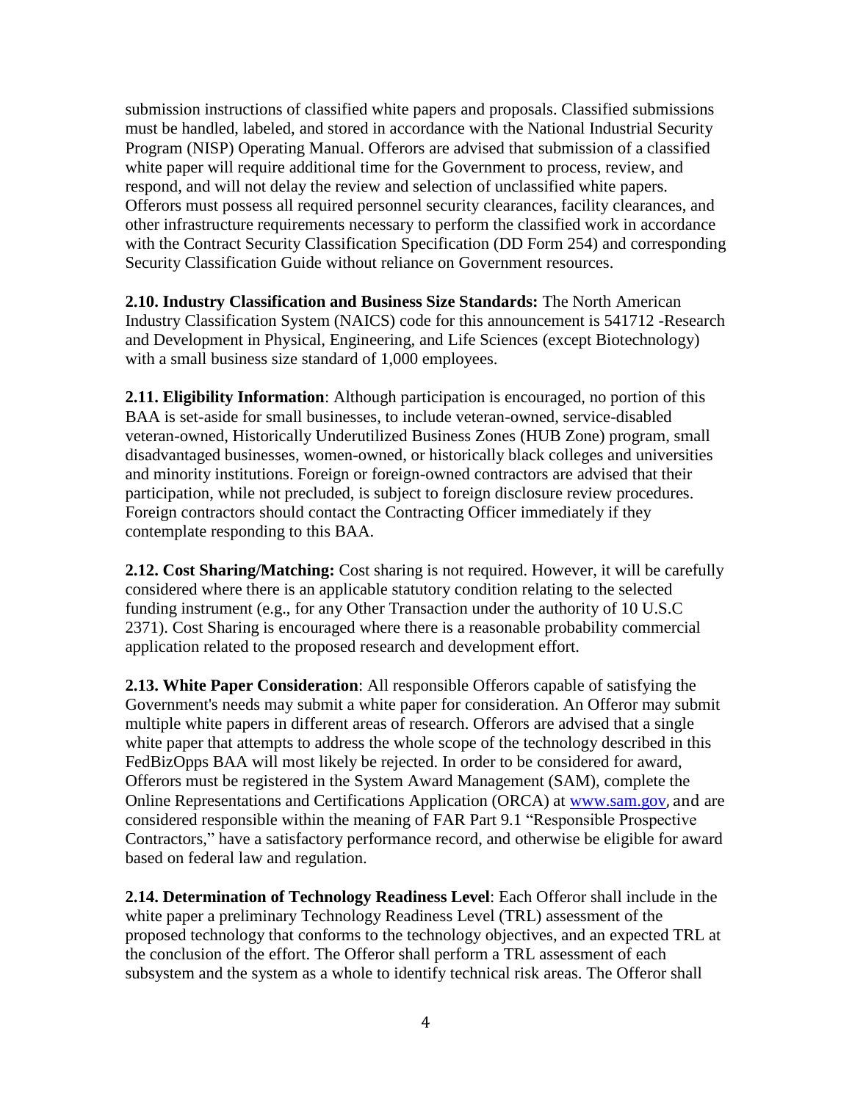submission instructions of classified white papers and proposals. Classified submissions must be handled, labeled, and stored in accordance with the National Industrial Security Program (NISP) Operating Manual. Offerors are advised that submission of a classified white paper will require additional time for the Government to process, review, and respond, and will not delay the review and selection of unclassified white papers. Offerors must possess all required personnel security clearances, facility clearances, and other infrastructure requirements necessary to perform the classified work in accordance with the Contract Security Classification Specification (DD Form 254) and corresponding Security Classification Guide without reliance on Government resources.

**2.10. Industry Classification and Business Size Standards:** The North American Industry Classification System (NAICS) code for this announcement is 541712 -Research and Development in Physical, Engineering, and Life Sciences (except Biotechnology) with a small business size standard of 1,000 employees.

**2.11. Eligibility Information**: Although participation is encouraged, no portion of this BAA is set-aside for small businesses, to include veteran-owned, service-disabled veteran-owned, Historically Underutilized Business Zones (HUB Zone) program, small disadvantaged businesses, women-owned, or historically black colleges and universities and minority institutions. Foreign or foreign-owned contractors are advised that their participation, while not precluded, is subject to foreign disclosure review procedures. Foreign contractors should contact the Contracting Officer immediately if they contemplate responding to this BAA.

**2.12. Cost Sharing/Matching:** Cost sharing is not required. However, it will be carefully considered where there is an applicable statutory condition relating to the selected funding instrument (e.g., for any Other Transaction under the authority of 10 U.S.C 2371). Cost Sharing is encouraged where there is a reasonable probability commercial application related to the proposed research and development effort.

**2.13. White Paper Consideration**: All responsible Offerors capable of satisfying the Government's needs may submit a white paper for consideration. An Offeror may submit multiple white papers in different areas of research. Offerors are advised that a single white paper that attempts to address the whole scope of the technology described in this FedBizOpps BAA will most likely be rejected. In order to be considered for award, Offerors must be registered in the System Award Management (SAM), complete the Online Representations and Certifications Application (ORCA) at [www.sam.gov](http://www.bpn.gov/), and are considered responsible within the meaning of FAR Part 9.1 "Responsible Prospective Contractors," have a satisfactory performance record, and otherwise be eligible for award based on federal law and regulation.

**2.14. Determination of Technology Readiness Level**: Each Offeror shall include in the white paper a preliminary Technology Readiness Level (TRL) assessment of the proposed technology that conforms to the technology objectives, and an expected TRL at the conclusion of the effort. The Offeror shall perform a TRL assessment of each subsystem and the system as a whole to identify technical risk areas. The Offeror shall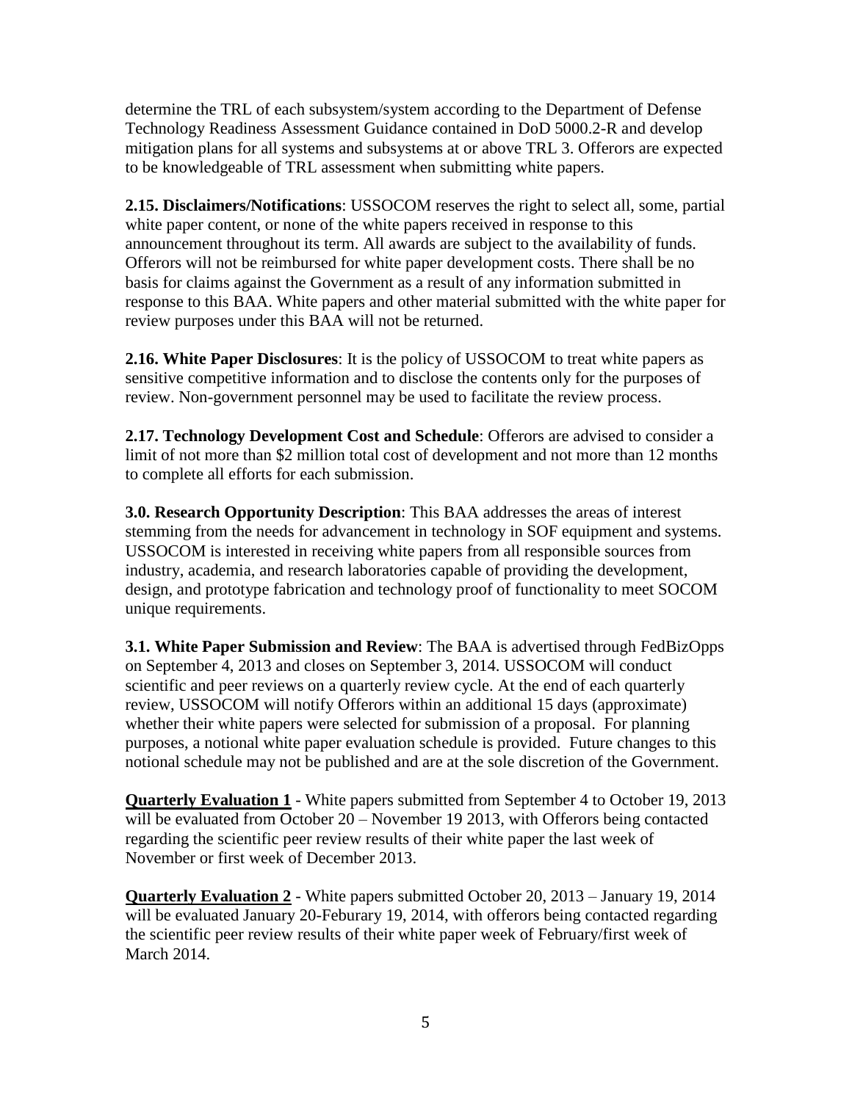determine the TRL of each subsystem/system according to the Department of Defense Technology Readiness Assessment Guidance contained in DoD 5000.2-R and develop mitigation plans for all systems and subsystems at or above TRL 3. Offerors are expected to be knowledgeable of TRL assessment when submitting white papers.

**2.15. Disclaimers/Notifications**: USSOCOM reserves the right to select all, some, partial white paper content, or none of the white papers received in response to this announcement throughout its term. All awards are subject to the availability of funds. Offerors will not be reimbursed for white paper development costs. There shall be no basis for claims against the Government as a result of any information submitted in response to this BAA. White papers and other material submitted with the white paper for review purposes under this BAA will not be returned.

**2.16. White Paper Disclosures**: It is the policy of USSOCOM to treat white papers as sensitive competitive information and to disclose the contents only for the purposes of review. Non-government personnel may be used to facilitate the review process.

**2.17. Technology Development Cost and Schedule**: Offerors are advised to consider a limit of not more than \$2 million total cost of development and not more than 12 months to complete all efforts for each submission.

**3.0. Research Opportunity Description**: This BAA addresses the areas of interest stemming from the needs for advancement in technology in SOF equipment and systems. USSOCOM is interested in receiving white papers from all responsible sources from industry, academia, and research laboratories capable of providing the development, design, and prototype fabrication and technology proof of functionality to meet SOCOM unique requirements.

**3.1. White Paper Submission and Review**: The BAA is advertised through FedBizOpps on September 4, 2013 and closes on September 3, 2014. USSOCOM will conduct scientific and peer reviews on a quarterly review cycle. At the end of each quarterly review, USSOCOM will notify Offerors within an additional 15 days (approximate) whether their white papers were selected for submission of a proposal. For planning purposes, a notional white paper evaluation schedule is provided. Future changes to this notional schedule may not be published and are at the sole discretion of the Government.

**Quarterly Evaluation 1** - White papers submitted from September 4 to October 19, 2013 will be evaluated from October 20 – November 19 2013, with Offerors being contacted regarding the scientific peer review results of their white paper the last week of November or first week of December 2013.

**Quarterly Evaluation 2** - White papers submitted October 20, 2013 – January 19, 2014 will be evaluated January 20-Feburary 19, 2014, with offerors being contacted regarding the scientific peer review results of their white paper week of February/first week of March 2014.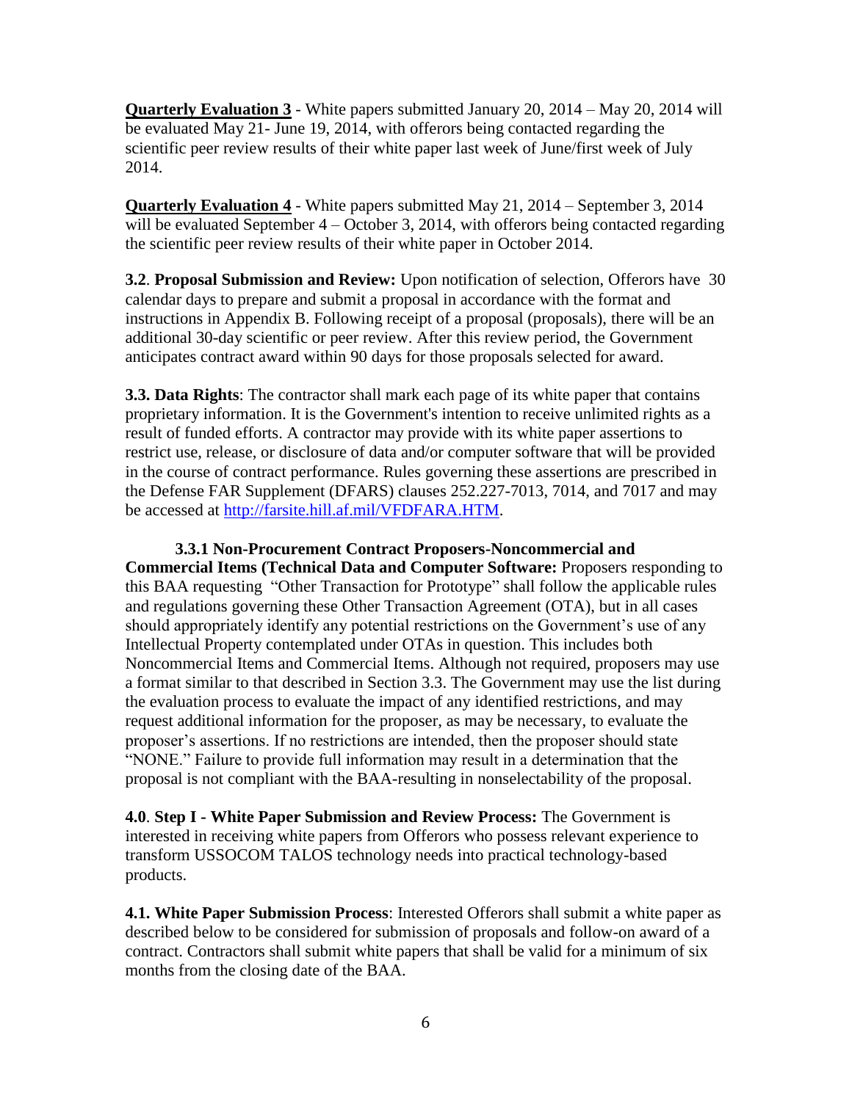**Quarterly Evaluation 3** - White papers submitted January 20, 2014 – May 20, 2014 will be evaluated May 21- June 19, 2014, with offerors being contacted regarding the scientific peer review results of their white paper last week of June/first week of July 2014.

**Quarterly Evaluation 4** - White papers submitted May 21, 2014 – September 3, 2014 will be evaluated September 4 – October 3, 2014, with offerors being contacted regarding the scientific peer review results of their white paper in October 2014.

**3.2**. **Proposal Submission and Review:** Upon notification of selection, Offerors have 30 calendar days to prepare and submit a proposal in accordance with the format and instructions in Appendix B. Following receipt of a proposal (proposals), there will be an additional 30-day scientific or peer review. After this review period, the Government anticipates contract award within 90 days for those proposals selected for award.

**3.3. Data Rights**: The contractor shall mark each page of its white paper that contains proprietary information. It is the Government's intention to receive unlimited rights as a result of funded efforts. A contractor may provide with its white paper assertions to restrict use, release, or disclosure of data and/or computer software that will be provided in the course of contract performance. Rules governing these assertions are prescribed in the Defense FAR Supplement (DFARS) clauses 252.227-7013, 7014, and 7017 and may be accessed at [http://farsite.hill.af.mil/VFDFARA.HTM.](http://farsite.hill.af.mil/VFDFARA.HTM)

**3.3.1 Non-Procurement Contract Proposers-Noncommercial and Commercial Items (Technical Data and Computer Software:** Proposers responding to this BAA requesting "Other Transaction for Prototype" shall follow the applicable rules and regulations governing these Other Transaction Agreement (OTA), but in all cases should appropriately identify any potential restrictions on the Government's use of any Intellectual Property contemplated under OTAs in question. This includes both Noncommercial Items and Commercial Items. Although not required, proposers may use a format similar to that described in Section 3.3. The Government may use the list during the evaluation process to evaluate the impact of any identified restrictions, and may request additional information for the proposer, as may be necessary, to evaluate the proposer's assertions. If no restrictions are intended, then the proposer should state "NONE." Failure to provide full information may result in a determination that the proposal is not compliant with the BAA-resulting in nonselectability of the proposal.

**4.0**. **Step I - White Paper Submission and Review Process:** The Government is interested in receiving white papers from Offerors who possess relevant experience to transform USSOCOM TALOS technology needs into practical technology-based products.

**4.1. White Paper Submission Process**: Interested Offerors shall submit a white paper as described below to be considered for submission of proposals and follow-on award of a contract. Contractors shall submit white papers that shall be valid for a minimum of six months from the closing date of the BAA.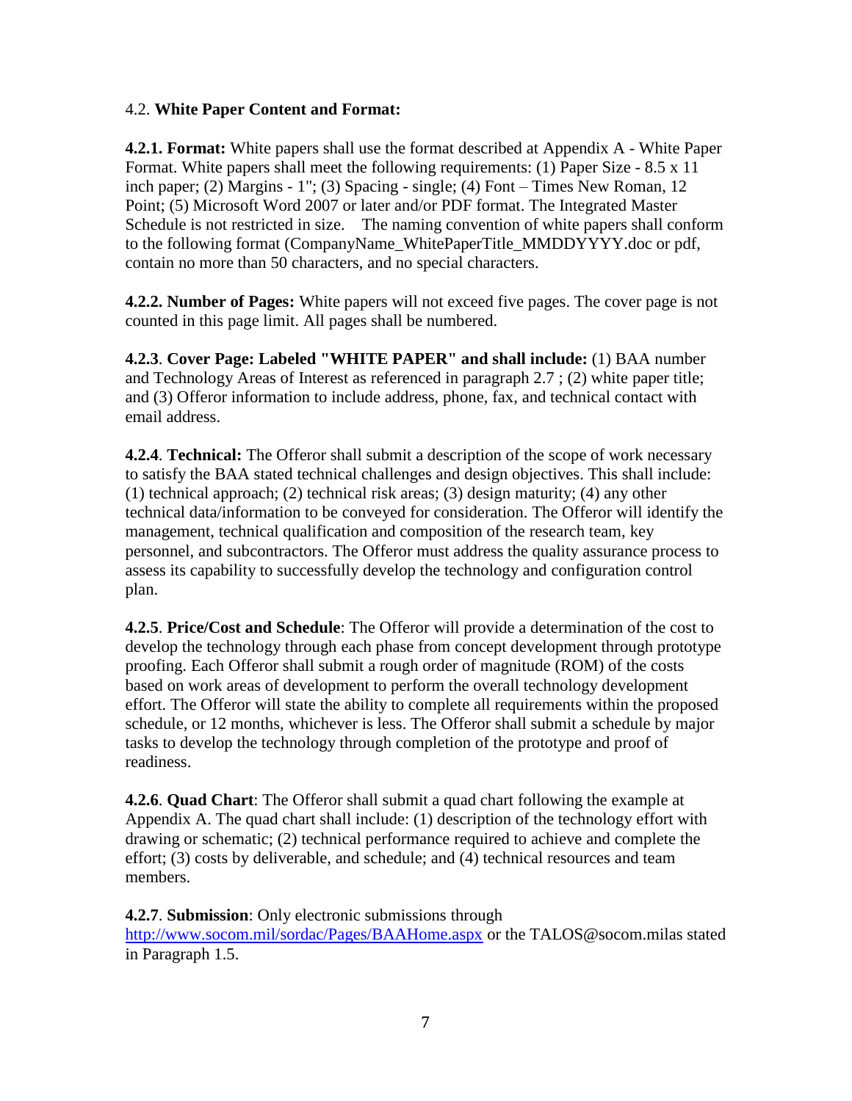#### 4.2. **White Paper Content and Format:**

**4.2.1. Format:** White papers shall use the format described at Appendix A - White Paper Format. White papers shall meet the following requirements: (1) Paper Size - 8.5 x 11 inch paper; (2) Margins - 1"; (3) Spacing - single; (4) Font – Times New Roman, 12 Point; (5) Microsoft Word 2007 or later and/or PDF format. The Integrated Master Schedule is not restricted in size. The naming convention of white papers shall conform to the following format (CompanyName\_WhitePaperTitle\_MMDDYYYY.doc or pdf, contain no more than 50 characters, and no special characters.

**4.2.2. Number of Pages:** White papers will not exceed five pages. The cover page is not counted in this page limit. All pages shall be numbered.

**4.2.3**. **Cover Page: Labeled "WHITE PAPER" and shall include:** (1) BAA number and Technology Areas of Interest as referenced in paragraph 2.7 ; (2) white paper title; and (3) Offeror information to include address, phone, fax, and technical contact with email address.

**4.2.4**. **Technical:** The Offeror shall submit a description of the scope of work necessary to satisfy the BAA stated technical challenges and design objectives. This shall include: (1) technical approach; (2) technical risk areas; (3) design maturity; (4) any other technical data/information to be conveyed for consideration. The Offeror will identify the management, technical qualification and composition of the research team, key personnel, and subcontractors. The Offeror must address the quality assurance process to assess its capability to successfully develop the technology and configuration control plan.

**4.2.5**. **Price/Cost and Schedule**: The Offeror will provide a determination of the cost to develop the technology through each phase from concept development through prototype proofing. Each Offeror shall submit a rough order of magnitude (ROM) of the costs based on work areas of development to perform the overall technology development effort. The Offeror will state the ability to complete all requirements within the proposed schedule, or 12 months, whichever is less. The Offeror shall submit a schedule by major tasks to develop the technology through completion of the prototype and proof of readiness.

**4.2.6**. **Quad Chart**: The Offeror shall submit a quad chart following the example at Appendix A. The quad chart shall include: (1) description of the technology effort with drawing or schematic; (2) technical performance required to achieve and complete the effort; (3) costs by deliverable, and schedule; and (4) technical resources and team members.

**4.2.7**. **Submission**: Only electronic submissions through

<http://www.socom.mil/sordac/Pages/BAAHome.aspx> or the TALOS@socom.milas stated in Paragraph 1.5.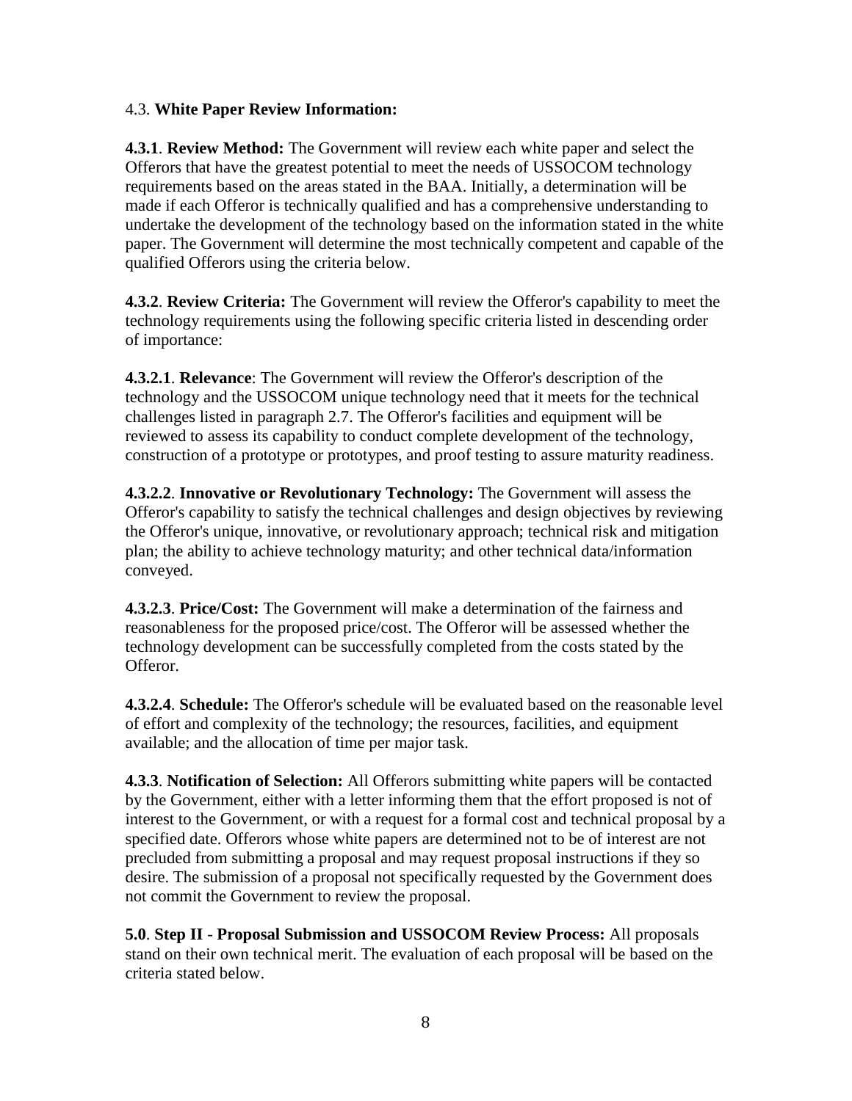## 4.3. **White Paper Review Information:**

**4.3.1**. **Review Method:** The Government will review each white paper and select the Offerors that have the greatest potential to meet the needs of USSOCOM technology requirements based on the areas stated in the BAA. Initially, a determination will be made if each Offeror is technically qualified and has a comprehensive understanding to undertake the development of the technology based on the information stated in the white paper. The Government will determine the most technically competent and capable of the qualified Offerors using the criteria below.

**4.3.2**. **Review Criteria:** The Government will review the Offeror's capability to meet the technology requirements using the following specific criteria listed in descending order of importance:

**4.3.2.1**. **Relevance**: The Government will review the Offeror's description of the technology and the USSOCOM unique technology need that it meets for the technical challenges listed in paragraph 2.7. The Offeror's facilities and equipment will be reviewed to assess its capability to conduct complete development of the technology, construction of a prototype or prototypes, and proof testing to assure maturity readiness.

**4.3.2.2**. **Innovative or Revolutionary Technology:** The Government will assess the Offeror's capability to satisfy the technical challenges and design objectives by reviewing the Offeror's unique, innovative, or revolutionary approach; technical risk and mitigation plan; the ability to achieve technology maturity; and other technical data/information conveyed.

**4.3.2.3**. **Price/Cost:** The Government will make a determination of the fairness and reasonableness for the proposed price/cost. The Offeror will be assessed whether the technology development can be successfully completed from the costs stated by the Offeror.

**4.3.2.4**. **Schedule:** The Offeror's schedule will be evaluated based on the reasonable level of effort and complexity of the technology; the resources, facilities, and equipment available; and the allocation of time per major task.

**4.3.3**. **Notification of Selection:** All Offerors submitting white papers will be contacted by the Government, either with a letter informing them that the effort proposed is not of interest to the Government, or with a request for a formal cost and technical proposal by a specified date. Offerors whose white papers are determined not to be of interest are not precluded from submitting a proposal and may request proposal instructions if they so desire. The submission of a proposal not specifically requested by the Government does not commit the Government to review the proposal.

**5.0**. **Step II** - **Proposal Submission and USSOCOM Review Process:** All proposals stand on their own technical merit. The evaluation of each proposal will be based on the criteria stated below.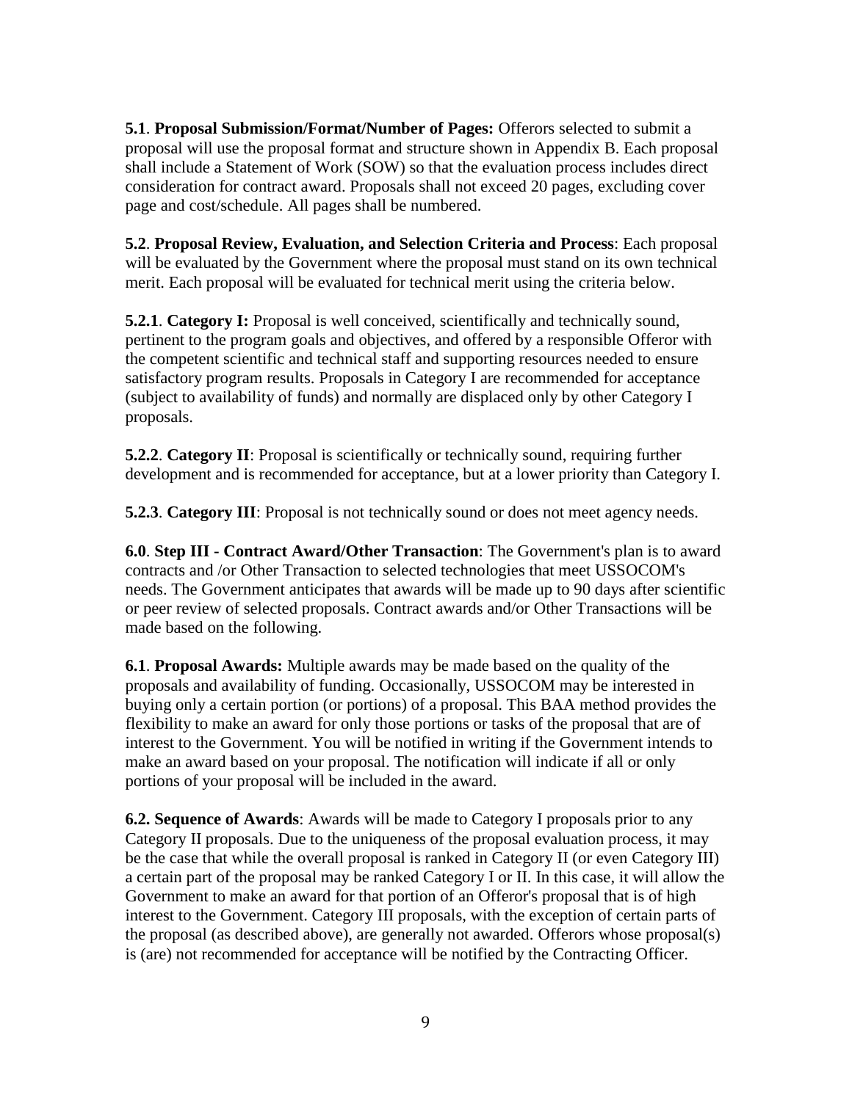**5.1**. **Proposal Submission/Format/Number of Pages:** Offerors selected to submit a proposal will use the proposal format and structure shown in Appendix B. Each proposal shall include a Statement of Work (SOW) so that the evaluation process includes direct consideration for contract award. Proposals shall not exceed 20 pages, excluding cover page and cost/schedule. All pages shall be numbered.

**5.2**. **Proposal Review, Evaluation, and Selection Criteria and Process**: Each proposal will be evaluated by the Government where the proposal must stand on its own technical merit. Each proposal will be evaluated for technical merit using the criteria below.

**5.2.1**. **Category I:** Proposal is well conceived, scientifically and technically sound, pertinent to the program goals and objectives, and offered by a responsible Offeror with the competent scientific and technical staff and supporting resources needed to ensure satisfactory program results. Proposals in Category I are recommended for acceptance (subject to availability of funds) and normally are displaced only by other Category I proposals.

**5.2.2. Category II**: Proposal is scientifically or technically sound, requiring further development and is recommended for acceptance, but at a lower priority than Category I.

**5.2.3**. **Category III**: Proposal is not technically sound or does not meet agency needs.

**6.0**. **Step III - Contract Award/Other Transaction**: The Government's plan is to award contracts and /or Other Transaction to selected technologies that meet USSOCOM's needs. The Government anticipates that awards will be made up to 90 days after scientific or peer review of selected proposals. Contract awards and/or Other Transactions will be made based on the following.

**6.1**. **Proposal Awards:** Multiple awards may be made based on the quality of the proposals and availability of funding. Occasionally, USSOCOM may be interested in buying only a certain portion (or portions) of a proposal. This BAA method provides the flexibility to make an award for only those portions or tasks of the proposal that are of interest to the Government. You will be notified in writing if the Government intends to make an award based on your proposal. The notification will indicate if all or only portions of your proposal will be included in the award.

**6.2. Sequence of Awards**: Awards will be made to Category I proposals prior to any Category II proposals. Due to the uniqueness of the proposal evaluation process, it may be the case that while the overall proposal is ranked in Category II (or even Category III) a certain part of the proposal may be ranked Category I or II. In this case, it will allow the Government to make an award for that portion of an Offeror's proposal that is of high interest to the Government. Category III proposals, with the exception of certain parts of the proposal (as described above), are generally not awarded. Offerors whose proposal(s) is (are) not recommended for acceptance will be notified by the Contracting Officer.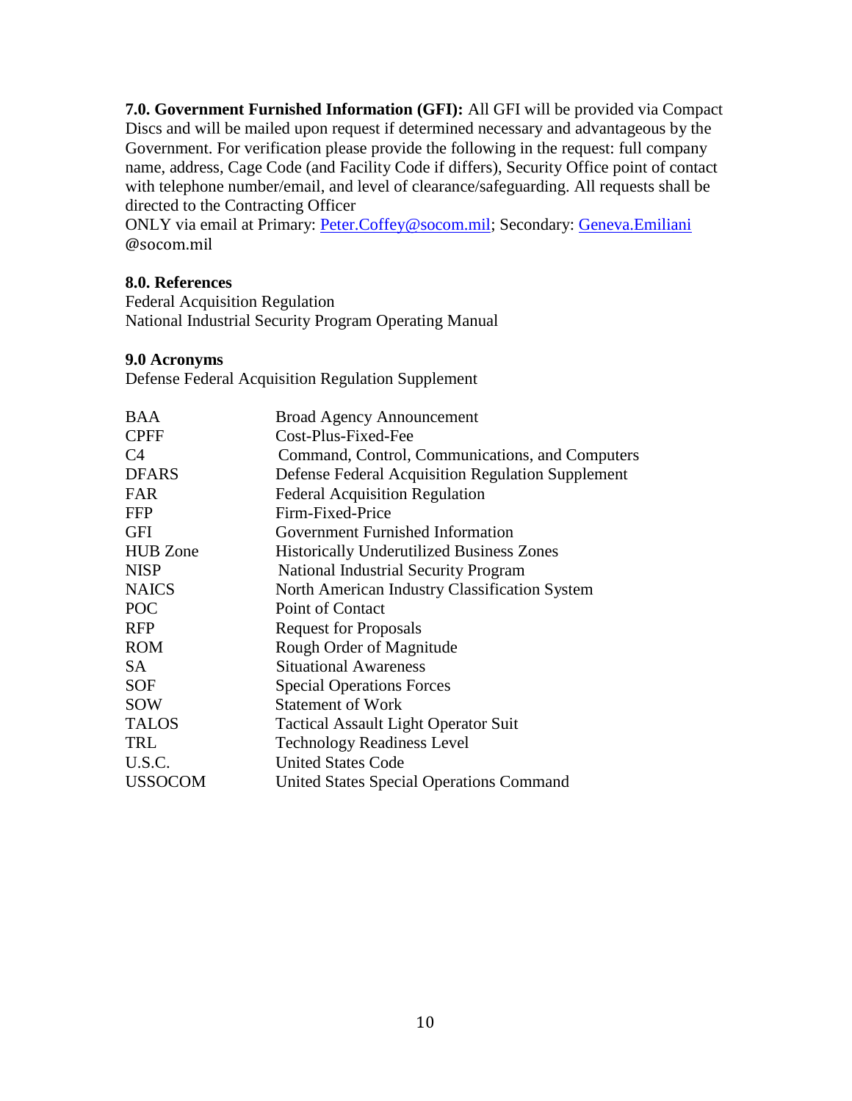**7.0. Government Furnished Information (GFI):** All GFI will be provided via Compact Discs and will be mailed upon request if determined necessary and advantageous by the Government. For verification please provide the following in the request: full company name, address, Cage Code (and Facility Code if differs), Security Office point of contact with telephone number/email, and level of clearance/safeguarding. All requests shall be directed to the Contracting Officer

ONLY via email at Primary: [Peter.Coffey@socom.mil;](mailto:Peter.Coffey@socom.mil) Secondary: [Geneva.Emiliani](mailto:Lionel.Lawson@socom.mil) @socom.mil

## **8.0. References**

Federal Acquisition Regulation National Industrial Security Program Operating Manual

## **9.0 Acronyms**

Defense Federal Acquisition Regulation Supplement

<span id="page-12-0"></span>

| <b>Broad Agency Announcement</b>                  |
|---------------------------------------------------|
| Cost-Plus-Fixed-Fee                               |
| Command, Control, Communications, and Computers   |
| Defense Federal Acquisition Regulation Supplement |
| <b>Federal Acquisition Regulation</b>             |
| Firm-Fixed-Price                                  |
| Government Furnished Information                  |
| <b>Historically Underutilized Business Zones</b>  |
| <b>National Industrial Security Program</b>       |
| North American Industry Classification System     |
| Point of Contact                                  |
| <b>Request for Proposals</b>                      |
| Rough Order of Magnitude                          |
| <b>Situational Awareness</b>                      |
| <b>Special Operations Forces</b>                  |
| <b>Statement of Work</b>                          |
| <b>Tactical Assault Light Operator Suit</b>       |
| <b>Technology Readiness Level</b>                 |
| <b>United States Code</b>                         |
| <b>United States Special Operations Command</b>   |
|                                                   |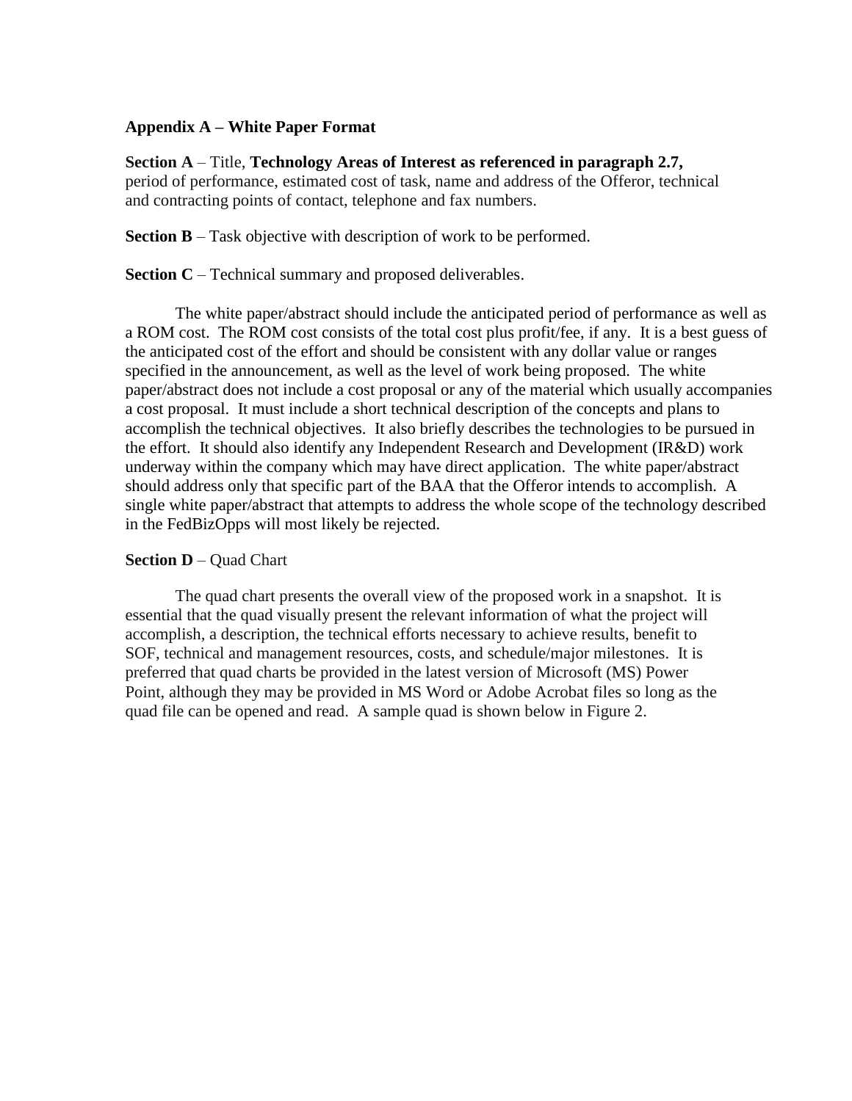#### **Appendix A – White Paper Format**

**Section A** – Title, **Technology Areas of Interest as referenced in paragraph 2.7,**  period of performance, estimated cost of task, name and address of the Offeror, technical and contracting points of contact, telephone and fax numbers.

**Section B** – Task objective with description of work to be performed.

**Section C** – Technical summary and proposed deliverables.

The white paper/abstract should include the anticipated period of performance as well as a ROM cost. The ROM cost consists of the total cost plus profit/fee, if any. It is a best guess of the anticipated cost of the effort and should be consistent with any dollar value or ranges specified in the announcement, as well as the level of work being proposed. The white paper/abstract does not include a cost proposal or any of the material which usually accompanies a cost proposal. It must include a short technical description of the concepts and plans to accomplish the technical objectives. It also briefly describes the technologies to be pursued in the effort. It should also identify any Independent Research and Development (IR&D) work underway within the company which may have direct application. The white paper/abstract should address only that specific part of the BAA that the Offeror intends to accomplish. A single white paper/abstract that attempts to address the whole scope of the technology described in the FedBizOpps will most likely be rejected.

### **Section D** – Quad Chart

The quad chart presents the overall view of the proposed work in a snapshot. It is essential that the quad visually present the relevant information of what the project will accomplish, a description, the technical efforts necessary to achieve results, benefit to SOF, technical and management resources, costs, and schedule/major milestones. It is preferred that quad charts be provided in the latest version of Microsoft (MS) Power Point, although they may be provided in MS Word or Adobe Acrobat files so long as the quad file can be opened and read. A sample quad is shown below in Figure 2.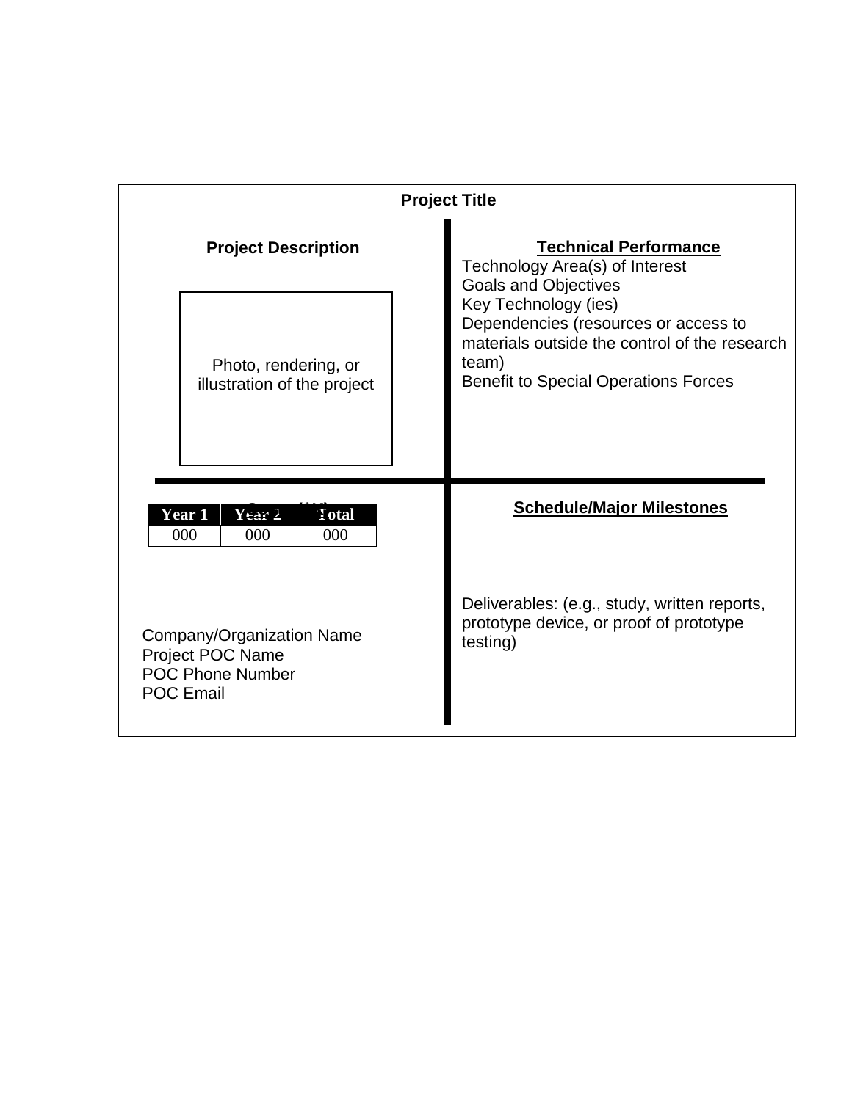|                                                                                                     | <b>Project Title</b>                                                                                                                                                                                                                                            |
|-----------------------------------------------------------------------------------------------------|-----------------------------------------------------------------------------------------------------------------------------------------------------------------------------------------------------------------------------------------------------------------|
| <b>Project Description</b>                                                                          | <b>Technical Performance</b><br>Technology Area(s) of Interest<br>Goals and Objectives<br>Key Technology (ies)<br>Dependencies (resources or access to<br>materials outside the control of the research<br>team)<br><b>Benefit to Special Operations Forces</b> |
| Photo, rendering, or<br>illustration of the project                                                 |                                                                                                                                                                                                                                                                 |
| $Y$ ear 2<br><b>Year 1</b><br>Total <sup>'</sup><br>000<br>000<br>000                               | <b>Schedule/Major Milestones</b>                                                                                                                                                                                                                                |
| Company/Organization Name<br><b>Project POC Name</b><br><b>POC Phone Number</b><br><b>POC Email</b> | Deliverables: (e.g., study, written reports,<br>prototype device, or proof of prototype<br>testing)                                                                                                                                                             |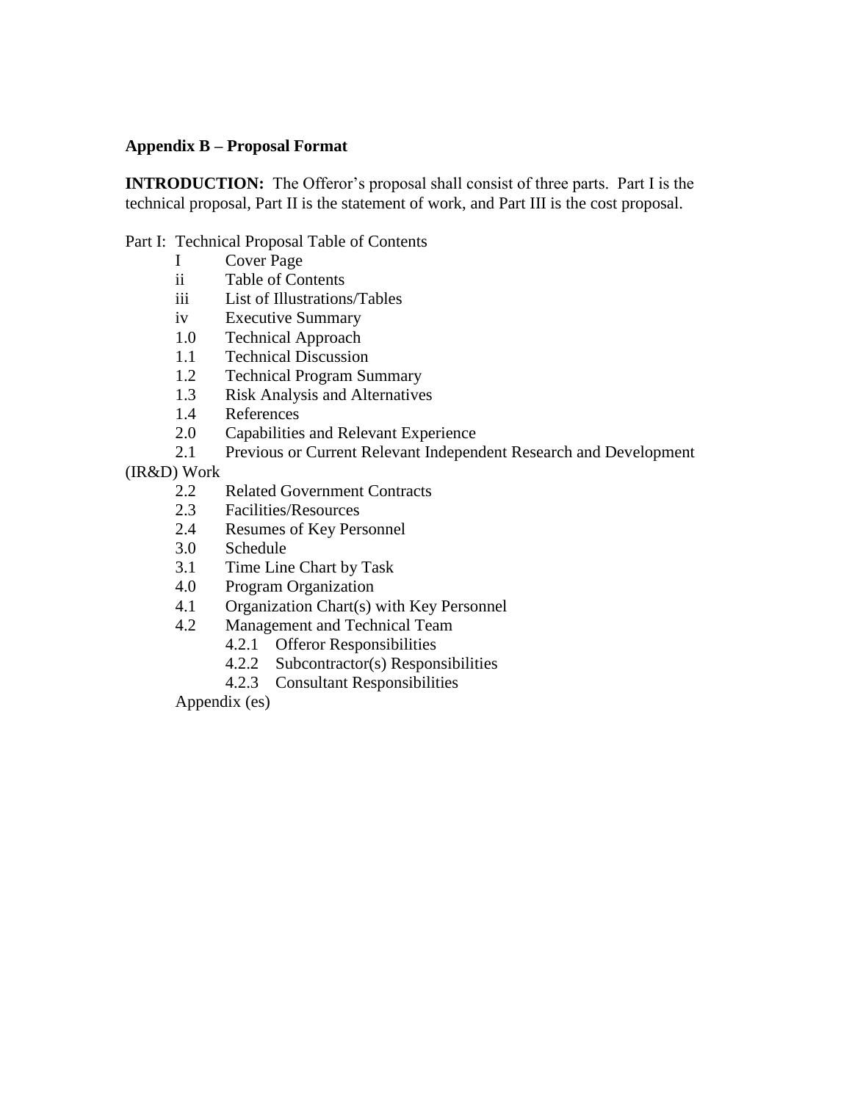## <span id="page-15-0"></span>**Appendix B – Proposal Format**

**INTRODUCTION:** The Offeror's proposal shall consist of three parts. Part I is the technical proposal, Part II is the statement of work, and Part III is the cost proposal.

#### Part I: Technical Proposal Table of Contents

- I Cover Page
- ii Table of Contents
- iii List of Illustrations/Tables
- iv Executive Summary
- 1.0 Technical Approach
- 1.1 Technical Discussion
- 1.2 Technical Program Summary
- 1.3 Risk Analysis and Alternatives
- 1.4 References
- 2.0 Capabilities and Relevant Experience
- 2.1 Previous or Current Relevant Independent Research and Development
- (IR&D) Work
	- 2.2 Related Government Contracts
	- 2.3 Facilities/Resources
	- 2.4 Resumes of Key Personnel
	- 3.0 Schedule
	- 3.1 Time Line Chart by Task
	- 4.0 Program Organization
	- 4.1 Organization Chart(s) with Key Personnel
	- 4.2 Management and Technical Team
		- 4.2.1 Offeror Responsibilities
		- 4.2.2 Subcontractor(s) Responsibilities
		- 4.2.3 Consultant Responsibilities

Appendix (es)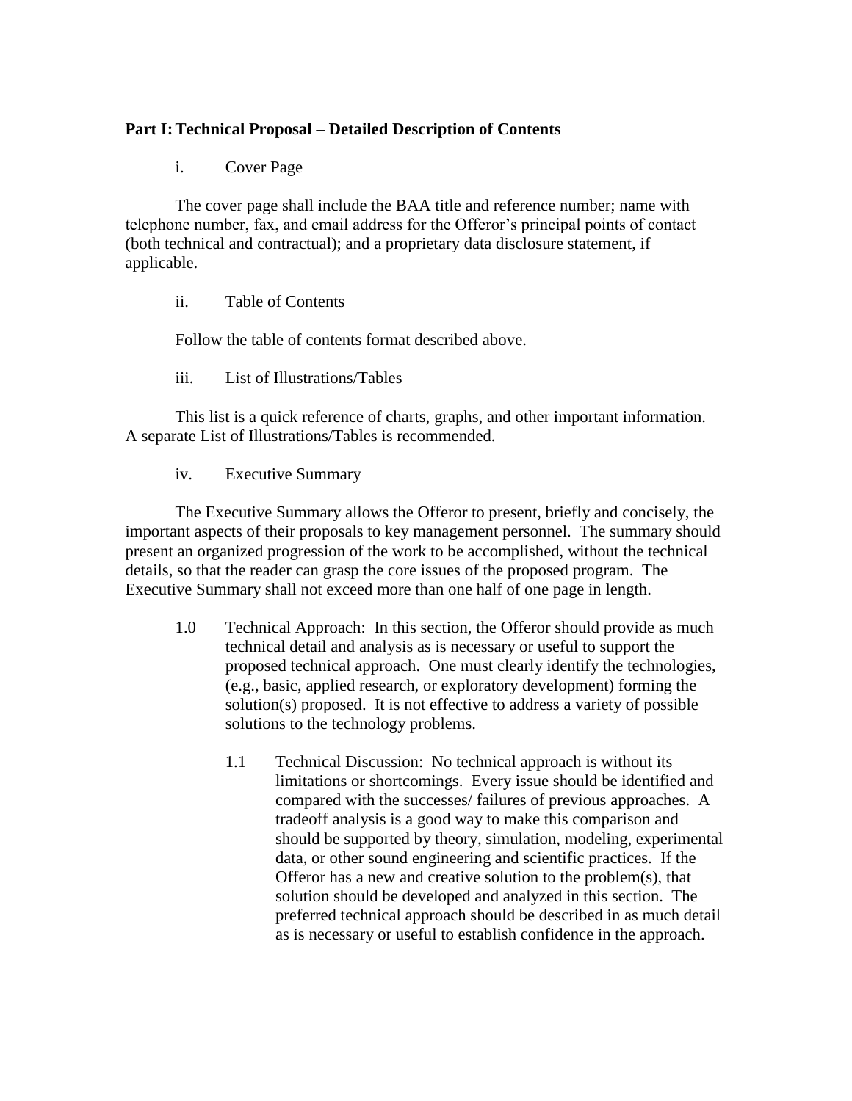## **Part I:Technical Proposal – Detailed Description of Contents**

i. Cover Page

The cover page shall include the BAA title and reference number; name with telephone number, fax, and email address for the Offeror's principal points of contact (both technical and contractual); and a proprietary data disclosure statement, if applicable.

ii. Table of Contents

Follow the table of contents format described above.

iii. List of Illustrations/Tables

This list is a quick reference of charts, graphs, and other important information. A separate List of Illustrations/Tables is recommended.

iv. Executive Summary

The Executive Summary allows the Offeror to present, briefly and concisely, the important aspects of their proposals to key management personnel. The summary should present an organized progression of the work to be accomplished, without the technical details, so that the reader can grasp the core issues of the proposed program. The Executive Summary shall not exceed more than one half of one page in length.

- 1.0 Technical Approach: In this section, the Offeror should provide as much technical detail and analysis as is necessary or useful to support the proposed technical approach. One must clearly identify the technologies, (e.g., basic, applied research, or exploratory development) forming the solution(s) proposed. It is not effective to address a variety of possible solutions to the technology problems.
	- 1.1 Technical Discussion: No technical approach is without its limitations or shortcomings. Every issue should be identified and compared with the successes/ failures of previous approaches. A tradeoff analysis is a good way to make this comparison and should be supported by theory, simulation, modeling, experimental data, or other sound engineering and scientific practices. If the Offeror has a new and creative solution to the problem(s), that solution should be developed and analyzed in this section. The preferred technical approach should be described in as much detail as is necessary or useful to establish confidence in the approach.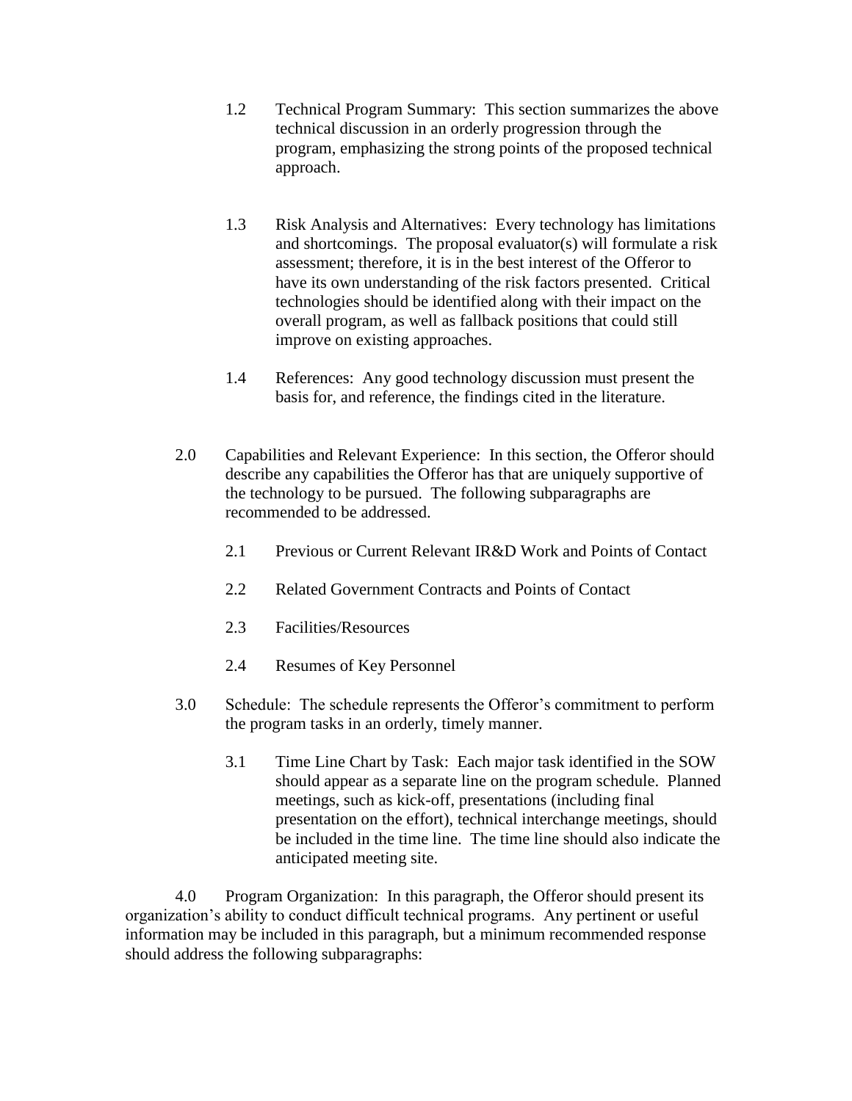- 1.2 Technical Program Summary: This section summarizes the above technical discussion in an orderly progression through the program, emphasizing the strong points of the proposed technical approach.
- 1.3 Risk Analysis and Alternatives: Every technology has limitations and shortcomings. The proposal evaluator(s) will formulate a risk assessment; therefore, it is in the best interest of the Offeror to have its own understanding of the risk factors presented. Critical technologies should be identified along with their impact on the overall program, as well as fallback positions that could still improve on existing approaches.
- 1.4 References: Any good technology discussion must present the basis for, and reference, the findings cited in the literature.
- 2.0 Capabilities and Relevant Experience: In this section, the Offeror should describe any capabilities the Offeror has that are uniquely supportive of the technology to be pursued. The following subparagraphs are recommended to be addressed.
	- 2.1 Previous or Current Relevant IR&D Work and Points of Contact
	- 2.2 Related Government Contracts and Points of Contact
	- 2.3 Facilities/Resources
	- 2.4 Resumes of Key Personnel
- 3.0 Schedule: The schedule represents the Offeror's commitment to perform the program tasks in an orderly, timely manner.
	- 3.1 Time Line Chart by Task: Each major task identified in the SOW should appear as a separate line on the program schedule. Planned meetings, such as kick-off, presentations (including final presentation on the effort), technical interchange meetings, should be included in the time line. The time line should also indicate the anticipated meeting site.

4.0 Program Organization: In this paragraph, the Offeror should present its organization's ability to conduct difficult technical programs. Any pertinent or useful information may be included in this paragraph, but a minimum recommended response should address the following subparagraphs: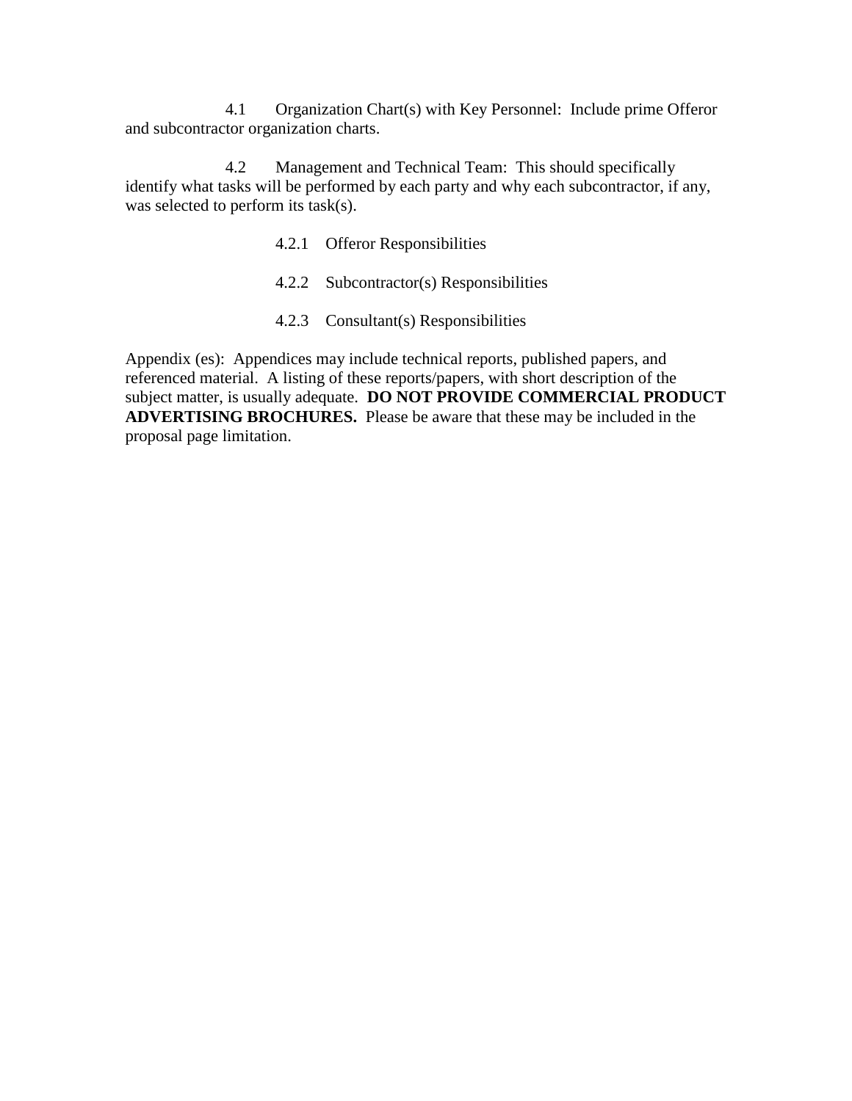4.1 Organization Chart(s) with Key Personnel: Include prime Offeror and subcontractor organization charts.

4.2 Management and Technical Team: This should specifically identify what tasks will be performed by each party and why each subcontractor, if any, was selected to perform its task(s).

- 4.2.1 Offeror Responsibilities
- 4.2.2 Subcontractor(s) Responsibilities
- 4.2.3 Consultant(s) Responsibilities

Appendix (es): Appendices may include technical reports, published papers, and referenced material. A listing of these reports/papers, with short description of the subject matter, is usually adequate. **DO NOT PROVIDE COMMERCIAL PRODUCT ADVERTISING BROCHURES.** Please be aware that these may be included in the proposal page limitation.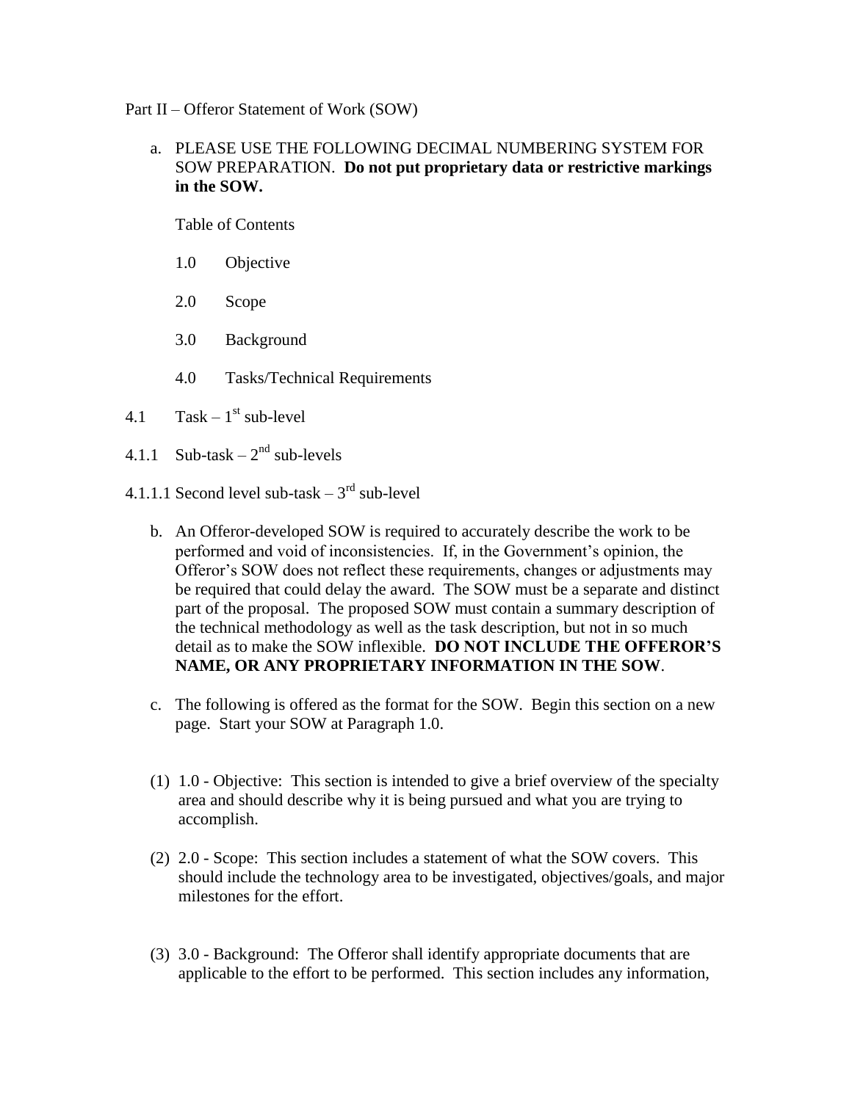Part II – Offeror Statement of Work (SOW)

## a. PLEASE USE THE FOLLOWING DECIMAL NUMBERING SYSTEM FOR SOW PREPARATION. **Do not put proprietary data or restrictive markings in the SOW.**

Table of Contents

- 1.0 Objective
- 2.0 Scope
- 3.0 Background
- 4.0 Tasks/Technical Requirements
- 4.1 Task  $1<sup>st</sup>$  sub-level
- 4.1.1 Sub-task  $-2<sup>nd</sup>$  sub-levels
- 4.1.1.1 Second level sub-task  $-3<sup>rd</sup>$  sub-level
	- b. An Offeror-developed SOW is required to accurately describe the work to be performed and void of inconsistencies. If, in the Government's opinion, the Offeror's SOW does not reflect these requirements, changes or adjustments may be required that could delay the award. The SOW must be a separate and distinct part of the proposal. The proposed SOW must contain a summary description of the technical methodology as well as the task description, but not in so much detail as to make the SOW inflexible. **DO NOT INCLUDE THE OFFEROR'S NAME, OR ANY PROPRIETARY INFORMATION IN THE SOW**.
	- c. The following is offered as the format for the SOW. Begin this section on a new page. Start your SOW at Paragraph 1.0.
	- (1) 1.0 Objective: This section is intended to give a brief overview of the specialty area and should describe why it is being pursued and what you are trying to accomplish.
	- (2) 2.0 Scope: This section includes a statement of what the SOW covers. This should include the technology area to be investigated, objectives/goals, and major milestones for the effort.
	- (3) 3.0 Background: The Offeror shall identify appropriate documents that are applicable to the effort to be performed. This section includes any information,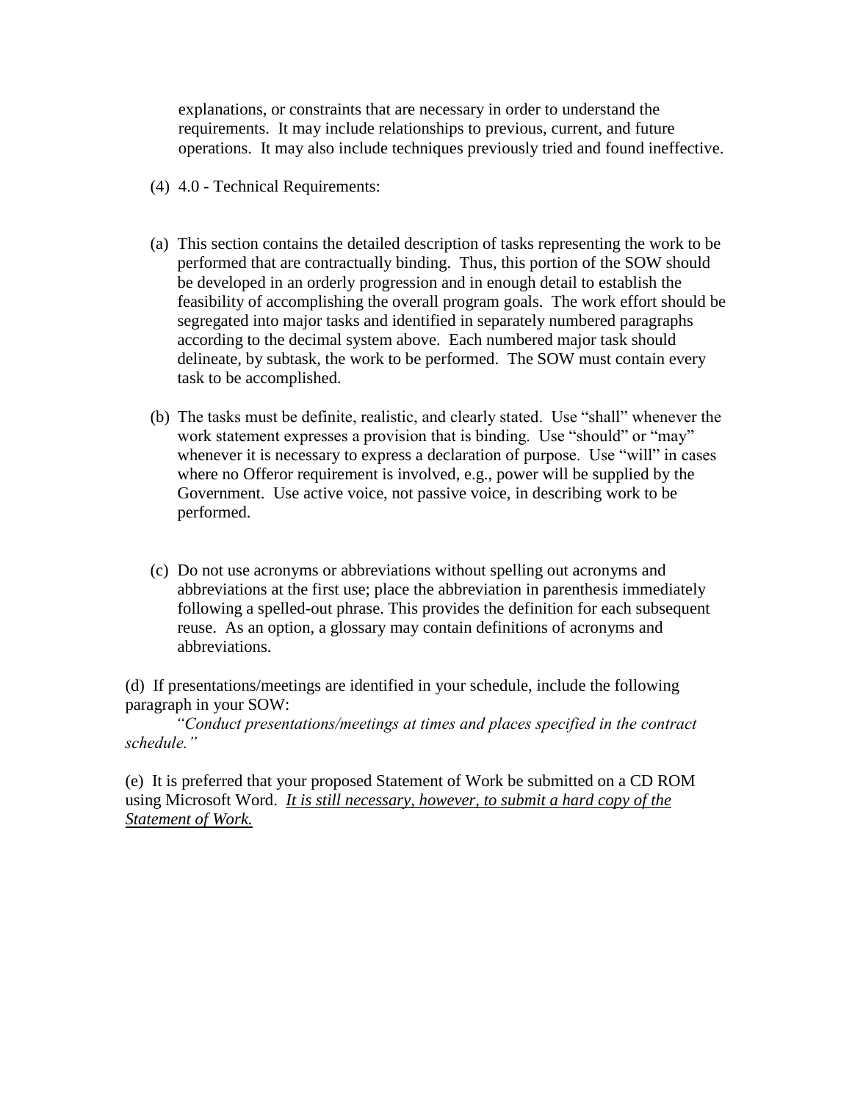explanations, or constraints that are necessary in order to understand the requirements. It may include relationships to previous, current, and future operations. It may also include techniques previously tried and found ineffective.

- (4) 4.0 Technical Requirements:
- (a) This section contains the detailed description of tasks representing the work to be performed that are contractually binding. Thus, this portion of the SOW should be developed in an orderly progression and in enough detail to establish the feasibility of accomplishing the overall program goals. The work effort should be segregated into major tasks and identified in separately numbered paragraphs according to the decimal system above. Each numbered major task should delineate, by subtask, the work to be performed. The SOW must contain every task to be accomplished.
- (b) The tasks must be definite, realistic, and clearly stated. Use "shall" whenever the work statement expresses a provision that is binding. Use "should" or "may" whenever it is necessary to express a declaration of purpose. Use "will" in cases where no Offeror requirement is involved, e.g., power will be supplied by the Government. Use active voice, not passive voice, in describing work to be performed.
- (c) Do not use acronyms or abbreviations without spelling out acronyms and abbreviations at the first use; place the abbreviation in parenthesis immediately following a spelled-out phrase. This provides the definition for each subsequent reuse. As an option, a glossary may contain definitions of acronyms and abbreviations.

(d) If presentations/meetings are identified in your schedule, include the following paragraph in your SOW:

*"Conduct presentations/meetings at times and places specified in the contract schedule."*

(e) It is preferred that your proposed Statement of Work be submitted on a CD ROM using Microsoft Word. *It is still necessary, however, to submit a hard copy of the Statement of Work.*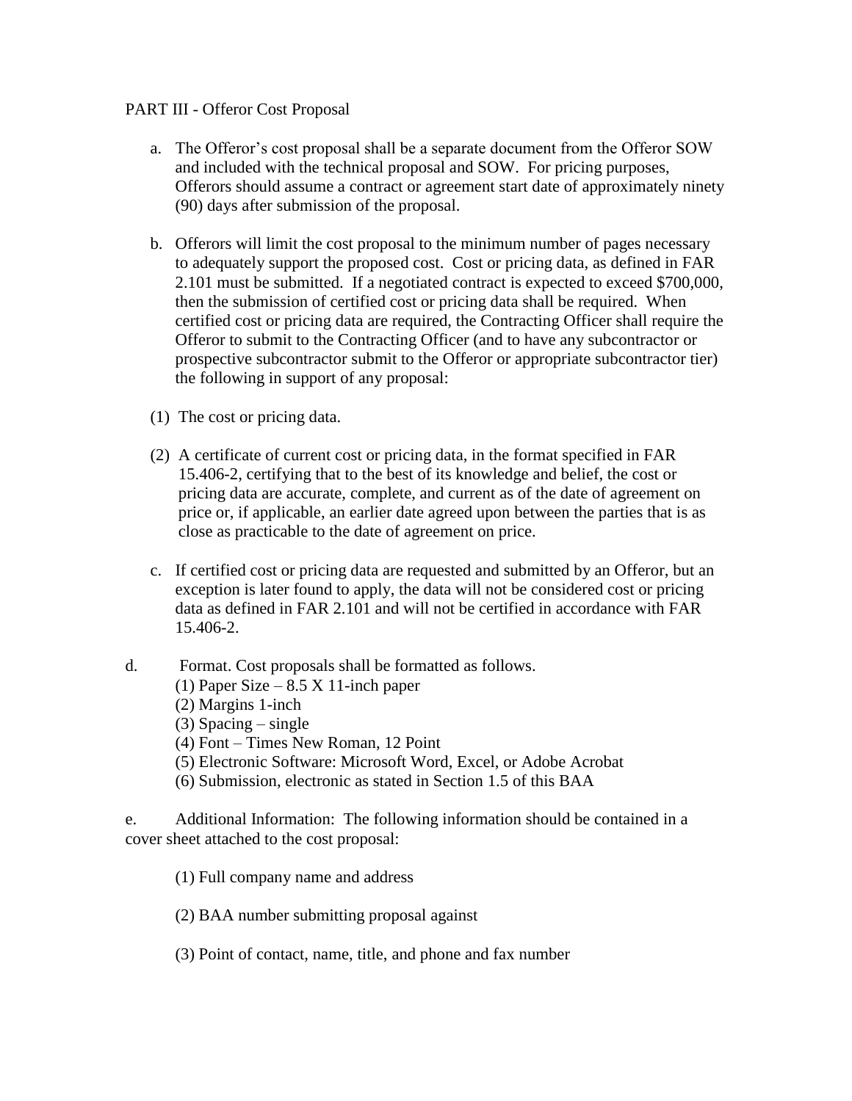## PART III - Offeror Cost Proposal

- a. The Offeror's cost proposal shall be a separate document from the Offeror SOW and included with the technical proposal and SOW. For pricing purposes, Offerors should assume a contract or agreement start date of approximately ninety (90) days after submission of the proposal.
- b. Offerors will limit the cost proposal to the minimum number of pages necessary to adequately support the proposed cost. Cost or pricing data, as defined in FAR 2.101 must be submitted. If a negotiated contract is expected to exceed \$700,000, then the submission of certified cost or pricing data shall be required. When certified cost or pricing data are required, the Contracting Officer shall require the Offeror to submit to the Contracting Officer (and to have any subcontractor or prospective subcontractor submit to the Offeror or appropriate subcontractor tier) the following in support of any proposal:
- (1) The cost or pricing data.
- (2) A certificate of current cost or pricing data, in the format specified in FAR 15.406-2, certifying that to the best of its knowledge and belief, the cost or pricing data are accurate, complete, and current as of the date of agreement on price or, if applicable, an earlier date agreed upon between the parties that is as close as practicable to the date of agreement on price.
- c. If certified cost or pricing data are requested and submitted by an Offeror, but an exception is later found to apply, the data will not be considered cost or pricing data as defined in FAR 2.101 and will not be certified in accordance with FAR 15.406-2.
- d. Format. Cost proposals shall be formatted as follows.
	- (1) Paper Size  $8.5 \text{ X}$  11-inch paper
	- (2) Margins 1-inch
	- (3) Spacing single
	- (4) Font Times New Roman, 12 Point
	- (5) Electronic Software: Microsoft Word, Excel, or Adobe Acrobat
	- (6) Submission, electronic as stated in Section 1.5 of this BAA

e. Additional Information: The following information should be contained in a cover sheet attached to the cost proposal:

- (1) Full company name and address
- (2) BAA number submitting proposal against
- (3) Point of contact, name, title, and phone and fax number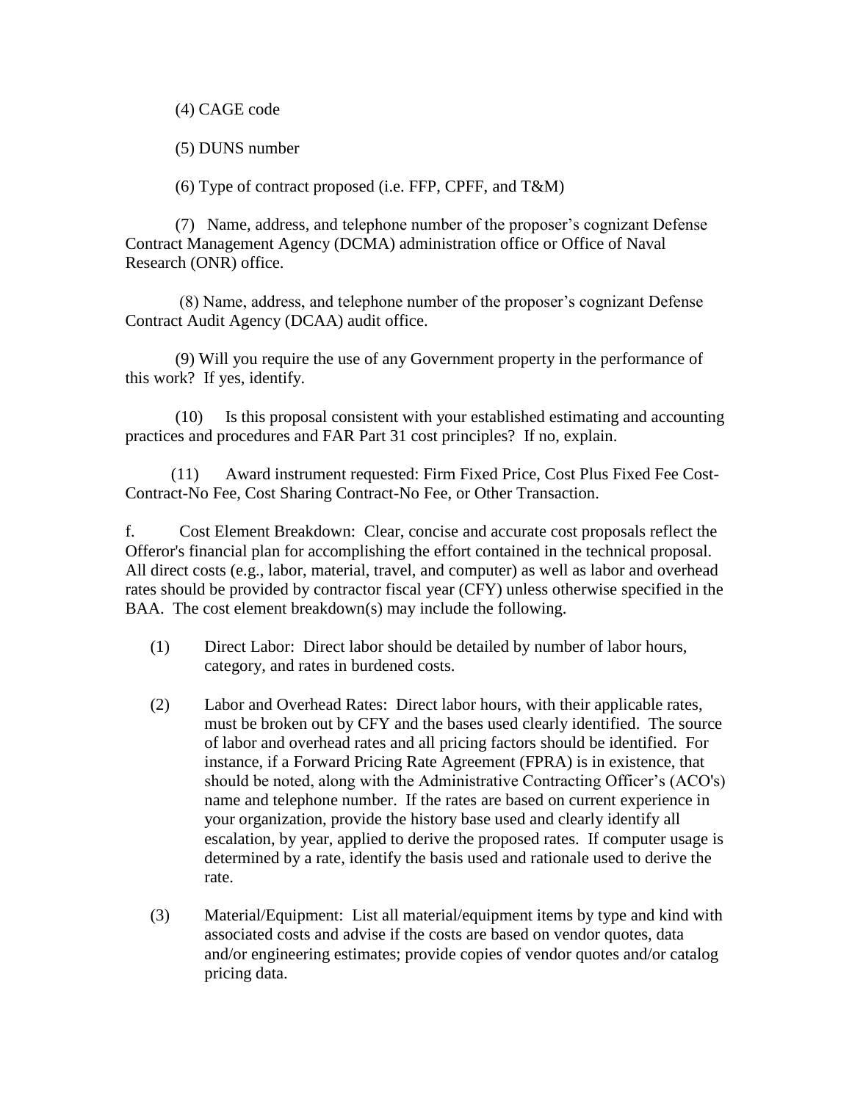(4) CAGE code

(5) DUNS number

(6) Type of contract proposed (i.e. FFP, CPFF, and T&M)

(7) Name, address, and telephone number of the proposer's cognizant Defense Contract Management Agency (DCMA) administration office or Office of Naval Research (ONR) office.

(8) Name, address, and telephone number of the proposer's cognizant Defense Contract Audit Agency (DCAA) audit office.

(9) Will you require the use of any Government property in the performance of this work? If yes, identify.

(10) Is this proposal consistent with your established estimating and accounting practices and procedures and FAR Part 31 cost principles? If no, explain.

 (11) Award instrument requested: Firm Fixed Price, Cost Plus Fixed Fee Cost-Contract-No Fee, Cost Sharing Contract-No Fee, or Other Transaction.

f. Cost Element Breakdown: Clear, concise and accurate cost proposals reflect the Offeror's financial plan for accomplishing the effort contained in the technical proposal. All direct costs (e.g., labor, material, travel, and computer) as well as labor and overhead rates should be provided by contractor fiscal year (CFY) unless otherwise specified in the BAA. The cost element breakdown(s) may include the following.

- (1) Direct Labor: Direct labor should be detailed by number of labor hours, category, and rates in burdened costs.
- (2) Labor and Overhead Rates: Direct labor hours, with their applicable rates, must be broken out by CFY and the bases used clearly identified. The source of labor and overhead rates and all pricing factors should be identified. For instance, if a Forward Pricing Rate Agreement (FPRA) is in existence, that should be noted, along with the Administrative Contracting Officer's (ACO's) name and telephone number. If the rates are based on current experience in your organization, provide the history base used and clearly identify all escalation, by year, applied to derive the proposed rates. If computer usage is determined by a rate, identify the basis used and rationale used to derive the rate.
- (3) Material/Equipment: List all material/equipment items by type and kind with associated costs and advise if the costs are based on vendor quotes, data and/or engineering estimates; provide copies of vendor quotes and/or catalog pricing data.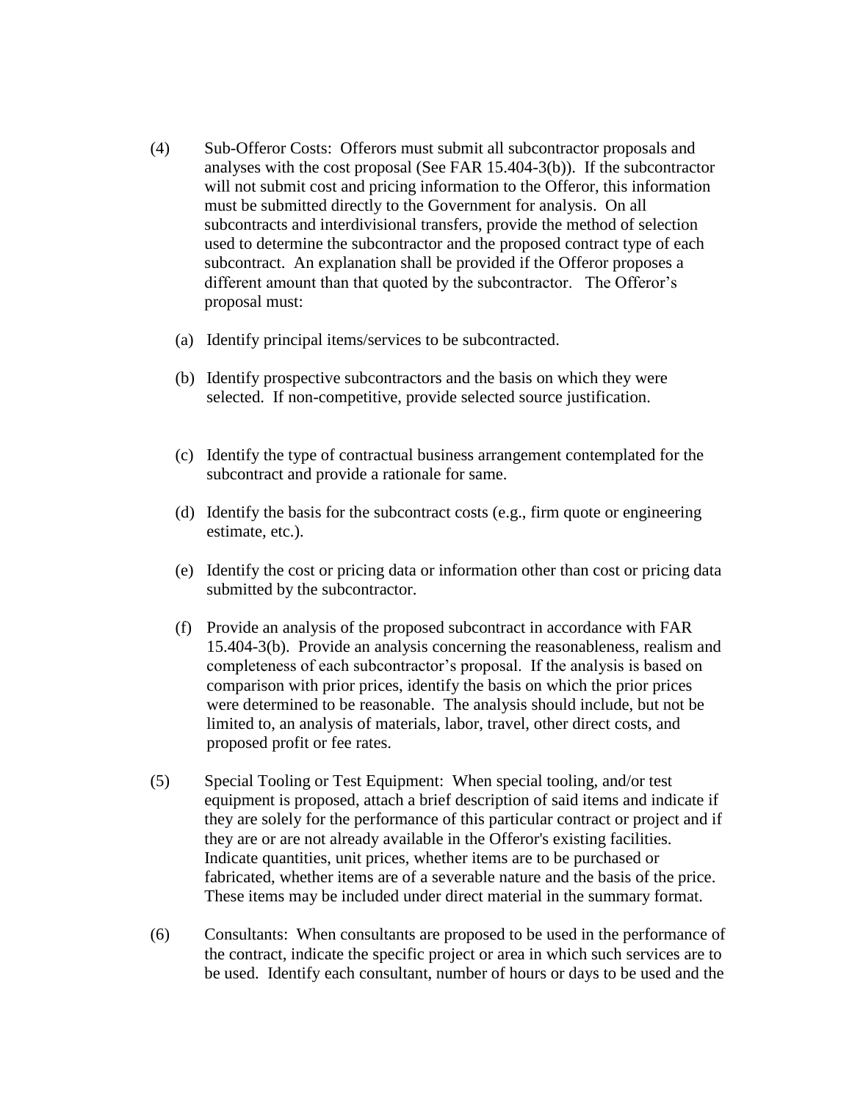- (4) Sub-Offeror Costs: Offerors must submit all subcontractor proposals and analyses with the cost proposal (See FAR 15.404-3(b)). If the subcontractor will not submit cost and pricing information to the Offeror, this information must be submitted directly to the Government for analysis. On all subcontracts and interdivisional transfers, provide the method of selection used to determine the subcontractor and the proposed contract type of each subcontract. An explanation shall be provided if the Offeror proposes a different amount than that quoted by the subcontractor. The Offeror's proposal must:
	- (a) Identify principal items/services to be subcontracted.
	- (b) Identify prospective subcontractors and the basis on which they were selected. If non-competitive, provide selected source justification.
	- (c) Identify the type of contractual business arrangement contemplated for the subcontract and provide a rationale for same.
	- (d) Identify the basis for the subcontract costs (e.g., firm quote or engineering estimate, etc.).
	- (e) Identify the cost or pricing data or information other than cost or pricing data submitted by the subcontractor.
	- (f) Provide an analysis of the proposed subcontract in accordance with FAR 15.404-3(b). Provide an analysis concerning the reasonableness, realism and completeness of each subcontractor's proposal. If the analysis is based on comparison with prior prices, identify the basis on which the prior prices were determined to be reasonable. The analysis should include, but not be limited to, an analysis of materials, labor, travel, other direct costs, and proposed profit or fee rates.
- (5) Special Tooling or Test Equipment: When special tooling, and/or test equipment is proposed, attach a brief description of said items and indicate if they are solely for the performance of this particular contract or project and if they are or are not already available in the Offeror's existing facilities. Indicate quantities, unit prices, whether items are to be purchased or fabricated, whether items are of a severable nature and the basis of the price. These items may be included under direct material in the summary format.
- (6) Consultants: When consultants are proposed to be used in the performance of the contract, indicate the specific project or area in which such services are to be used. Identify each consultant, number of hours or days to be used and the